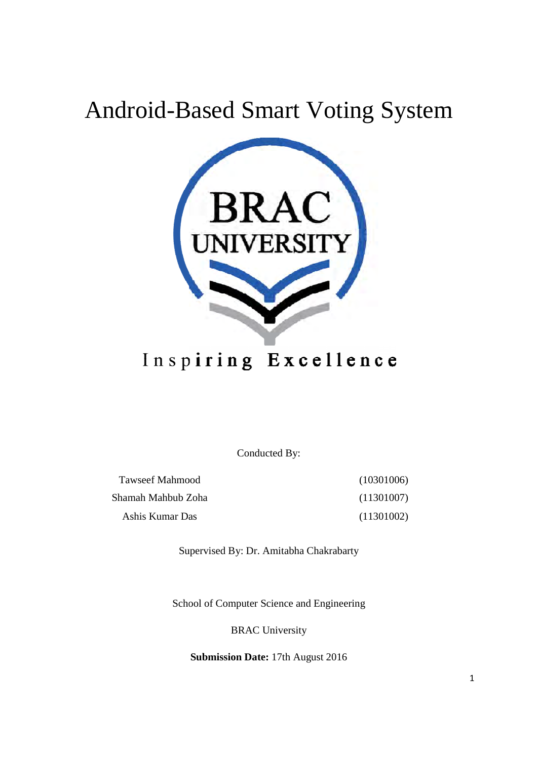# Android-Based Smart Voting System



# Inspiring Excellence

Conducted By:

Tawseef Mahmood Shamah Mahbub Zoha Ashis Kumar Das (10301006) (11301007) (11301002)

Supervised By: Dr. Amitabha Chakrabarty

School of Computer Science and Engineering

BRAC University

**Submission Date:** 17th August 2016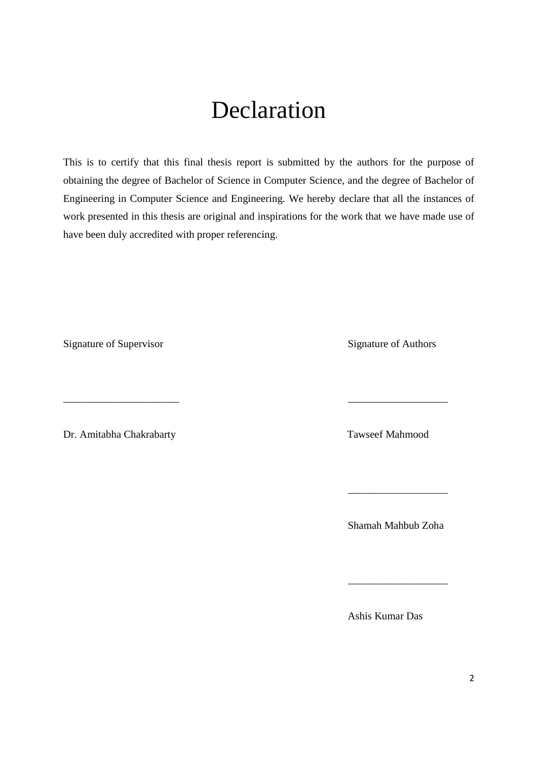# Declaration

This is to certify that this final thesis report is submitted by the authors for the purpose of obtaining the degree of Bachelor of Science in Computer Science, and the degree of Bachelor of Engineering in Computer Science and Engineering. We hereby declare that all the instances of work presented in this thesis are original and inspirations for the work that we have made use of have been duly accredited with proper referencing.

\_\_\_\_\_\_\_\_\_\_\_\_\_\_\_\_\_\_\_\_\_\_ \_\_\_\_\_\_\_\_\_\_\_\_\_\_\_\_\_\_\_

 $\overline{\phantom{a}}$  , and the contract of the contract of the contract of the contract of the contract of the contract of the contract of the contract of the contract of the contract of the contract of the contract of the contrac

 $\overline{\phantom{a}}$  , and the contract of the contract of the contract of the contract of the contract of the contract of the contract of the contract of the contract of the contract of the contract of the contract of the contrac

Signature of Supervisor Signature of Authors

Dr. Amitabha Chakrabarty Tawseef Mahmood

Shamah Mahbub Zoha

Ashis Kumar Das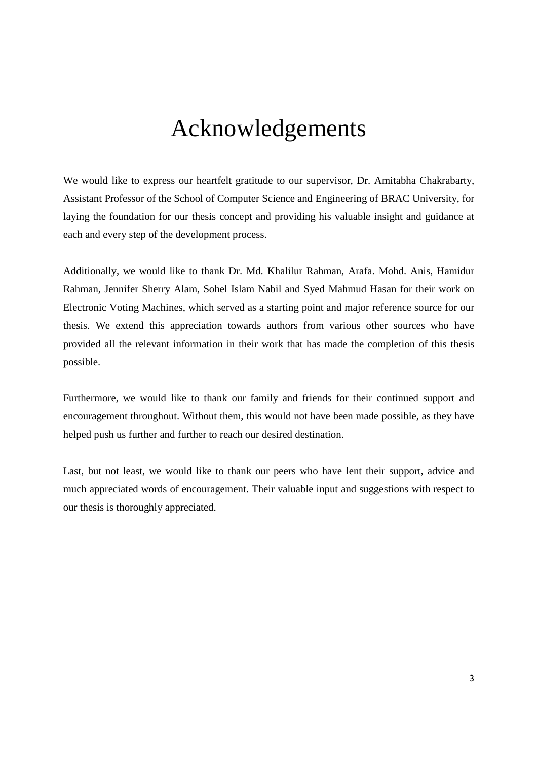# Acknowledgements

We would like to express our heartfelt gratitude to our supervisor, Dr. Amitabha Chakrabarty, Assistant Professor of the School of Computer Science and Engineering of BRAC University, for laying the foundation for our thesis concept and providing his valuable insight and guidance at each and every step of the development process.

Additionally, we would like to thank Dr. Md. Khalilur Rahman, Arafa. Mohd. Anis, Hamidur Rahman, Jennifer Sherry Alam, Sohel Islam Nabil and Syed Mahmud Hasan for their work on Electronic Voting Machines, which served as a starting point and major reference source for our thesis. We extend this appreciation towards authors from various other sources who have provided all the relevant information in their work that has made the completion of this thesis possible.

Furthermore, we would like to thank our family and friends for their continued support and encouragement throughout. Without them, this would not have been made possible, as they have helped push us further and further to reach our desired destination.

Last, but not least, we would like to thank our peers who have lent their support, advice and much appreciated words of encouragement. Their valuable input and suggestions with respect to our thesis is thoroughly appreciated.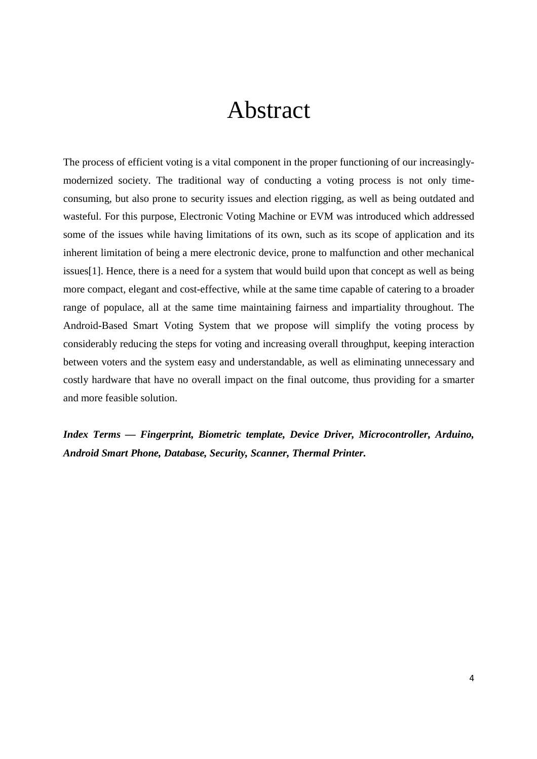# Abstract

The process of efficient voting is a vital component in the proper functioning of our increasinglymodernized society. The traditional way of conducting a voting process is not only timeconsuming, but also prone to security issues and election rigging, as well as being outdated and wasteful. For this purpose, Electronic Voting Machine or EVM was introduced which addressed some of the issues while having limitations of its own, such as its scope of application and its inherent limitation of being a mere electronic device, prone to malfunction and other mechanical issues[1]. Hence, there is a need for a system that would build upon that concept as well as being more compact, elegant and cost-effective, while at the same time capable of catering to a broader range of populace, all at the same time maintaining fairness and impartiality throughout. The Android-Based Smart Voting System that we propose will simplify the voting process by considerably reducing the steps for voting and increasing overall throughput, keeping interaction between voters and the system easy and understandable, as well as eliminating unnecessary and costly hardware that have no overall impact on the final outcome, thus providing for a smarter and more feasible solution.

*Index Terms — Fingerprint, Biometric template, Device Driver, Microcontroller, Arduino, Android Smart Phone, Database, Security, Scanner, Thermal Printer.*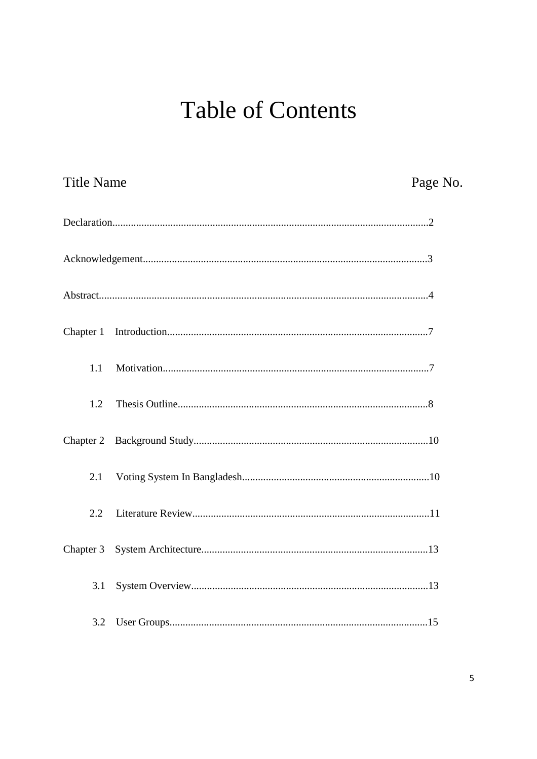# **Table of Contents**

| <b>Title Name</b> | Page No. |
|-------------------|----------|
|                   |          |
|                   |          |
|                   |          |
|                   |          |
| 1.1               |          |
| 1.2               |          |
| Chapter 2         |          |
| 2.1               |          |
| 2.2               |          |
| Chapter 3         |          |
| 3.1               |          |
| 3.2               |          |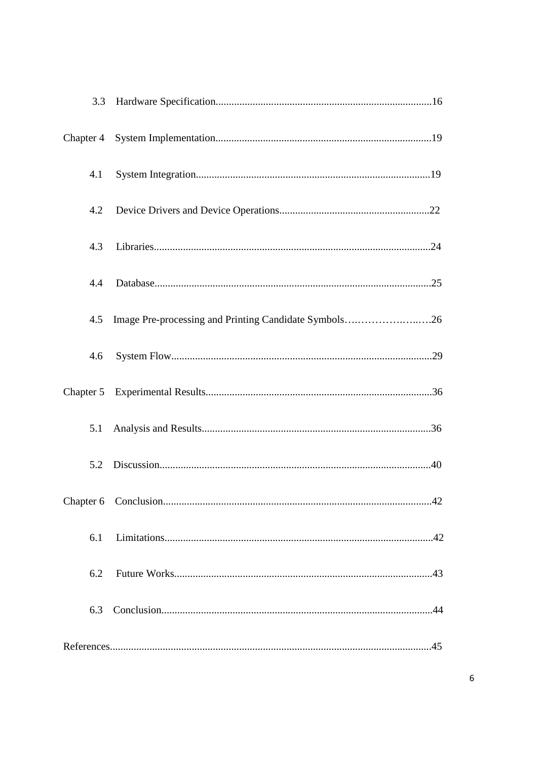| 3.3       |                                                       |  |
|-----------|-------------------------------------------------------|--|
|           |                                                       |  |
| 4.1       |                                                       |  |
| 4.2       |                                                       |  |
| 4.3       |                                                       |  |
| 4.4       |                                                       |  |
| 4.5       | Image Pre-processing and Printing Candidate Symbols26 |  |
| 4.6       |                                                       |  |
| Chapter 5 |                                                       |  |
| 5.1       |                                                       |  |
| 5.2       |                                                       |  |
|           |                                                       |  |
| 6.1       |                                                       |  |
| 6.2       |                                                       |  |
| 6.3       |                                                       |  |
|           |                                                       |  |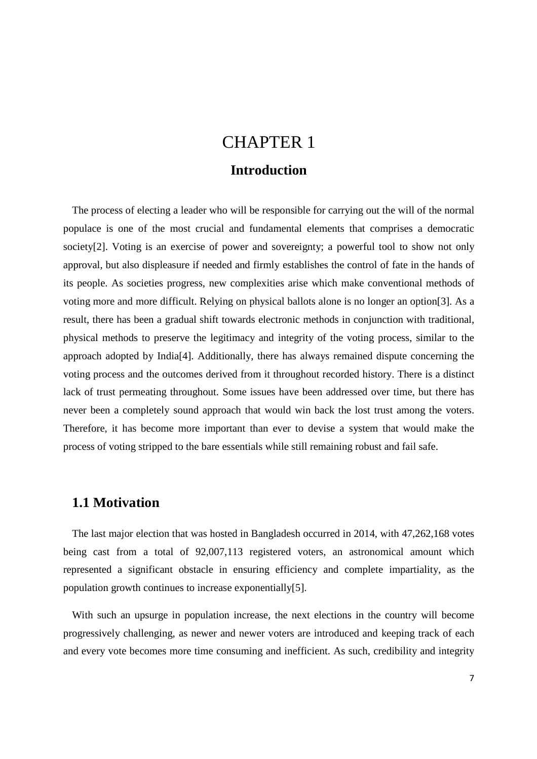## CHAPTER 1 **Introduction**

The process of electing a leader who will be responsible for carrying out the will of the normal populace is one of the most crucial and fundamental elements that comprises a democratic society[2]. Voting is an exercise of power and sovereignty; a powerful tool to show not only approval, but also displeasure if needed and firmly establishes the control of fate in the hands of its people. As societies progress, new complexities arise which make conventional methods of voting more and more difficult. Relying on physical ballots alone is no longer an option[3]. As a result, there has been a gradual shift towards electronic methods in conjunction with traditional, physical methods to preserve the legitimacy and integrity of the voting process, similar to the approach adopted by India[4]. Additionally, there has always remained dispute concerning the voting process and the outcomes derived from it throughout recorded history. There is a distinct lack of trust permeating throughout. Some issues have been addressed over time, but there has never been a completely sound approach that would win back the lost trust among the voters. Therefore, it has become more important than ever to devise a system that would make the process of voting stripped to the bare essentials while still remaining robust and fail safe.

### **1.1 Motivation**

The last major election that was hosted in Bangladesh occurred in 2014, with 47,262,168 votes being cast from a total of 92,007,113 registered voters, an astronomical amount which represented a significant obstacle in ensuring efficiency and complete impartiality, as the population growth continues to increase exponentially[5].

With such an upsurge in population increase, the next elections in the country will become progressively challenging, as newer and newer voters are introduced and keeping track of each and every vote becomes more time consuming and inefficient. As such, credibility and integrity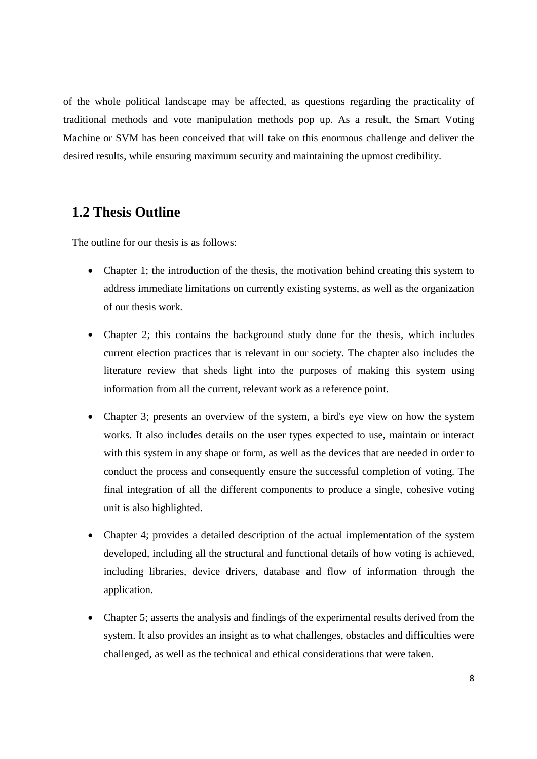of the whole political landscape may be affected, as questions regarding the practicality of traditional methods and vote manipulation methods pop up. As a result, the Smart Voting Machine or SVM has been conceived that will take on this enormous challenge and deliver the desired results, while ensuring maximum security and maintaining the upmost credibility.

### **1.2 Thesis Outline**

The outline for our thesis is as follows:

- Chapter 1; the introduction of the thesis, the motivation behind creating this system to address immediate limitations on currently existing systems, as well as the organization of our thesis work.
- Chapter 2; this contains the background study done for the thesis, which includes current election practices that is relevant in our society. The chapter also includes the literature review that sheds light into the purposes of making this system using information from all the current, relevant work as a reference point.
- Chapter 3; presents an overview of the system, a bird's eye view on how the system works. It also includes details on the user types expected to use, maintain or interact with this system in any shape or form, as well as the devices that are needed in order to conduct the process and consequently ensure the successful completion of voting. The final integration of all the different components to produce a single, cohesive voting unit is also highlighted.
- Chapter 4; provides a detailed description of the actual implementation of the system developed, including all the structural and functional details of how voting is achieved, including libraries, device drivers, database and flow of information through the application.
- Chapter 5; asserts the analysis and findings of the experimental results derived from the system. It also provides an insight as to what challenges, obstacles and difficulties were challenged, as well as the technical and ethical considerations that were taken.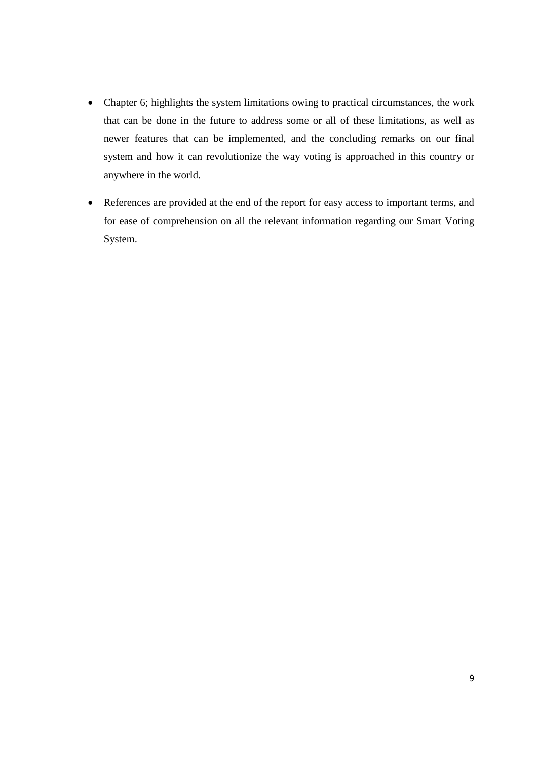- Chapter 6; highlights the system limitations owing to practical circumstances, the work that can be done in the future to address some or all of these limitations, as well as newer features that can be implemented, and the concluding remarks on our final system and how it can revolutionize the way voting is approached in this country or anywhere in the world.
- References are provided at the end of the report for easy access to important terms, and for ease of comprehension on all the relevant information regarding our Smart Voting System.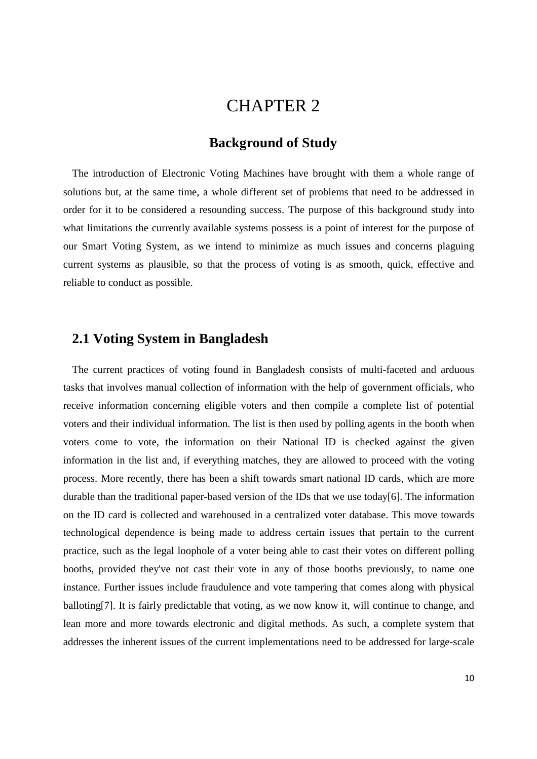## CHAPTER 2

## **Background of Study**

The introduction of Electronic Voting Machines have brought with them a whole range of solutions but, at the same time, a whole different set of problems that need to be addressed in order for it to be considered a resounding success. The purpose of this background study into what limitations the currently available systems possess is a point of interest for the purpose of our Smart Voting System, as we intend to minimize as much issues and concerns plaguing current systems as plausible, so that the process of voting is as smooth, quick, effective and reliable to conduct as possible.

### **2.1 Voting System in Bangladesh**

The current practices of voting found in Bangladesh consists of multi-faceted and arduous tasks that involves manual collection of information with the help of government officials, who receive information concerning eligible voters and then compile a complete list of potential voters and their individual information. The list is then used by polling agents in the booth when voters come to vote, the information on their National ID is checked against the given information in the list and, if everything matches, they are allowed to proceed with the voting process. More recently, there has been a shift towards smart national ID cards, which are more durable than the traditional paper-based version of the IDs that we use today[6]. The information on the ID card is collected and warehoused in a centralized voter database. This move towards technological dependence is being made to address certain issues that pertain to the current practice, such as the legal loophole of a voter being able to cast their votes on different polling booths, provided they've not cast their vote in any of those booths previously, to name one instance. Further issues include fraudulence and vote tampering that comes along with physical balloting[7]. It is fairly predictable that voting, as we now know it, will continue to change, and lean more and more towards electronic and digital methods. As such, a complete system that addresses the inherent issues of the current implementations need to be addressed for large-scale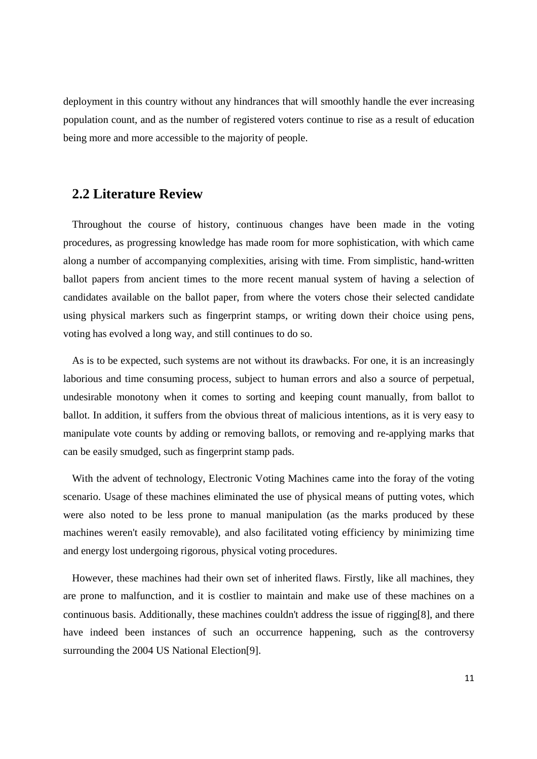deployment in this country without any hindrances that will smoothly handle the ever increasing population count, and as the number of registered voters continue to rise as a result of education being more and more accessible to the majority of people.

### **2.2 Literature Review**

Throughout the course of history, continuous changes have been made in the voting procedures, as progressing knowledge has made room for more sophistication, with which came along a number of accompanying complexities, arising with time. From simplistic, hand-written ballot papers from ancient times to the more recent manual system of having a selection of candidates available on the ballot paper, from where the voters chose their selected candidate using physical markers such as fingerprint stamps, or writing down their choice using pens, voting has evolved a long way, and still continues to do so.

As is to be expected, such systems are not without its drawbacks. For one, it is an increasingly laborious and time consuming process, subject to human errors and also a source of perpetual, undesirable monotony when it comes to sorting and keeping count manually, from ballot to ballot. In addition, it suffers from the obvious threat of malicious intentions, as it is very easy to manipulate vote counts by adding or removing ballots, or removing and re-applying marks that can be easily smudged, such as fingerprint stamp pads.

With the advent of technology, Electronic Voting Machines came into the foray of the voting scenario. Usage of these machines eliminated the use of physical means of putting votes, which were also noted to be less prone to manual manipulation (as the marks produced by these machines weren't easily removable), and also facilitated voting efficiency by minimizing time and energy lost undergoing rigorous, physical voting procedures.

However, these machines had their own set of inherited flaws. Firstly, like all machines, they are prone to malfunction, and it is costlier to maintain and make use of these machines on a continuous basis. Additionally, these machines couldn't address the issue of rigging[8], and there have indeed been instances of such an occurrence happening, such as the controversy surrounding the 2004 US National Election[9].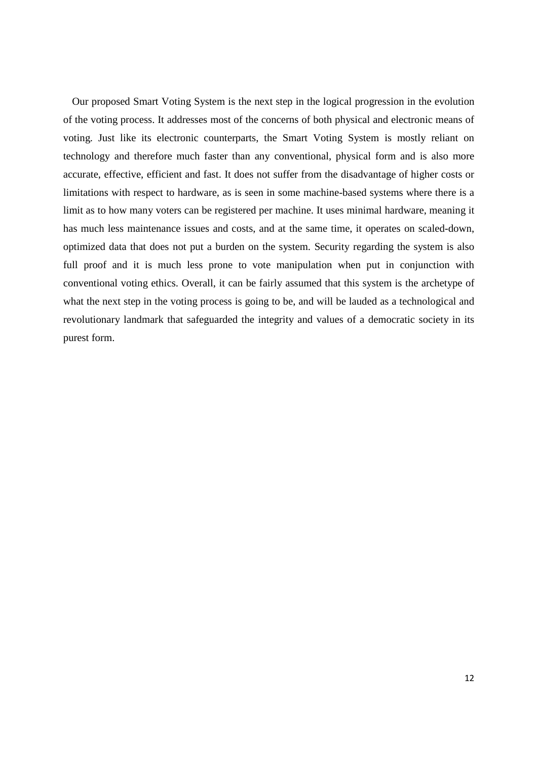Our proposed Smart Voting System is the next step in the logical progression in the evolution of the voting process. It addresses most of the concerns of both physical and electronic means of voting. Just like its electronic counterparts, the Smart Voting System is mostly reliant on technology and therefore much faster than any conventional, physical form and is also more accurate, effective, efficient and fast. It does not suffer from the disadvantage of higher costs or limitations with respect to hardware, as is seen in some machine-based systems where there is a limit as to how many voters can be registered per machine. It uses minimal hardware, meaning it has much less maintenance issues and costs, and at the same time, it operates on scaled-down, optimized data that does not put a burden on the system. Security regarding the system is also full proof and it is much less prone to vote manipulation when put in conjunction with conventional voting ethics. Overall, it can be fairly assumed that this system is the archetype of what the next step in the voting process is going to be, and will be lauded as a technological and revolutionary landmark that safeguarded the integrity and values of a democratic society in its purest form.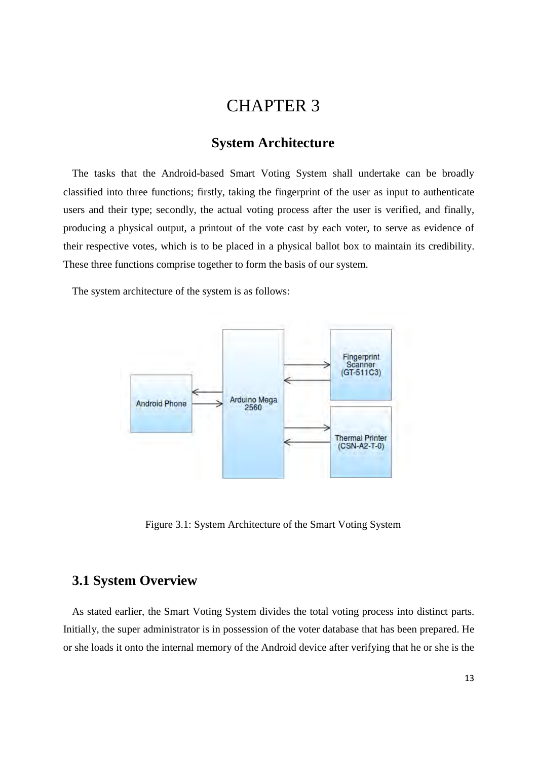## CHAPTER 3

### **System Architecture**

The tasks that the Android-based Smart Voting System shall undertake can be broadly classified into three functions; firstly, taking the fingerprint of the user as input to authenticate users and their type; secondly, the actual voting process after the user is verified, and finally, producing a physical output, a printout of the vote cast by each voter, to serve as evidence of their respective votes, which is to be placed in a physical ballot box to maintain its credibility. These three functions comprise together to form the basis of our system.

The system architecture of the system is as follows:



Figure 3.1: System Architecture of the Smart Voting System

### **3.1 System Overview**

As stated earlier, the Smart Voting System divides the total voting process into distinct parts. Initially, the super administrator is in possession of the voter database that has been prepared. He or she loads it onto the internal memory of the Android device after verifying that he or she is the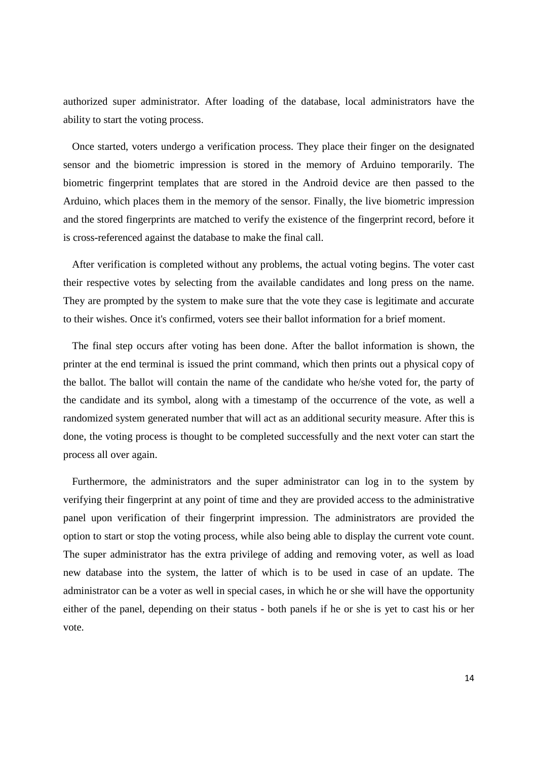authorized super administrator. After loading of the database, local administrators have the ability to start the voting process.

Once started, voters undergo a verification process. They place their finger on the designated sensor and the biometric impression is stored in the memory of Arduino temporarily. The biometric fingerprint templates that are stored in the Android device are then passed to the Arduino, which places them in the memory of the sensor. Finally, the live biometric impression and the stored fingerprints are matched to verify the existence of the fingerprint record, before it is cross-referenced against the database to make the final call.

After verification is completed without any problems, the actual voting begins. The voter cast their respective votes by selecting from the available candidates and long press on the name. They are prompted by the system to make sure that the vote they case is legitimate and accurate to their wishes. Once it's confirmed, voters see their ballot information for a brief moment.

The final step occurs after voting has been done. After the ballot information is shown, the printer at the end terminal is issued the print command, which then prints out a physical copy of the ballot. The ballot will contain the name of the candidate who he/she voted for, the party of the candidate and its symbol, along with a timestamp of the occurrence of the vote, as well a randomized system generated number that will act as an additional security measure. After this is done, the voting process is thought to be completed successfully and the next voter can start the process all over again.

Furthermore, the administrators and the super administrator can log in to the system by verifying their fingerprint at any point of time and they are provided access to the administrative panel upon verification of their fingerprint impression. The administrators are provided the option to start or stop the voting process, while also being able to display the current vote count. The super administrator has the extra privilege of adding and removing voter, as well as load new database into the system, the latter of which is to be used in case of an update. The administrator can be a voter as well in special cases, in which he or she will have the opportunity either of the panel, depending on their status - both panels if he or she is yet to cast his or her vote.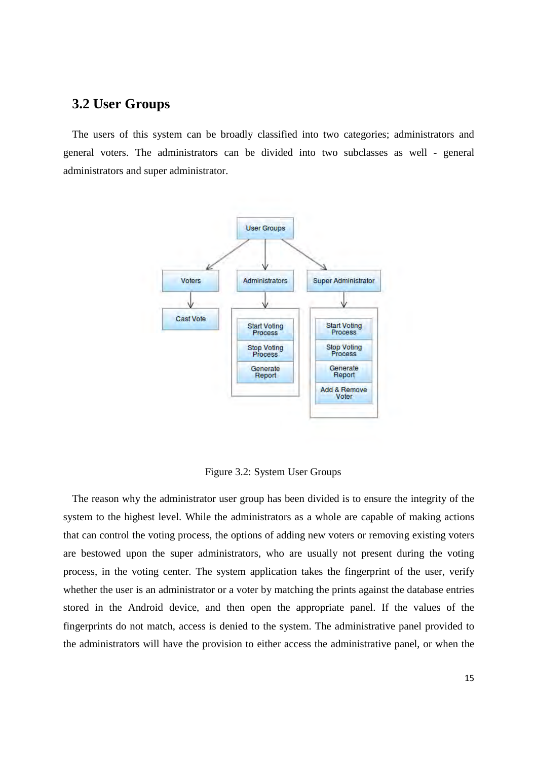### **3.2 User Groups**

The users of this system can be broadly classified into two categories; administrators and general voters. The administrators can be divided into two subclasses as well - general administrators and super administrator.



Figure 3.2: System User Groups

The reason why the administrator user group has been divided is to ensure the integrity of the system to the highest level. While the administrators as a whole are capable of making actions that can control the voting process, the options of adding new voters or removing existing voters are bestowed upon the super administrators, who are usually not present during the voting process, in the voting center. The system application takes the fingerprint of the user, verify whether the user is an administrator or a voter by matching the prints against the database entries stored in the Android device, and then open the appropriate panel. If the values of the fingerprints do not match, access is denied to the system. The administrative panel provided to the administrators will have the provision to either access the administrative panel, or when the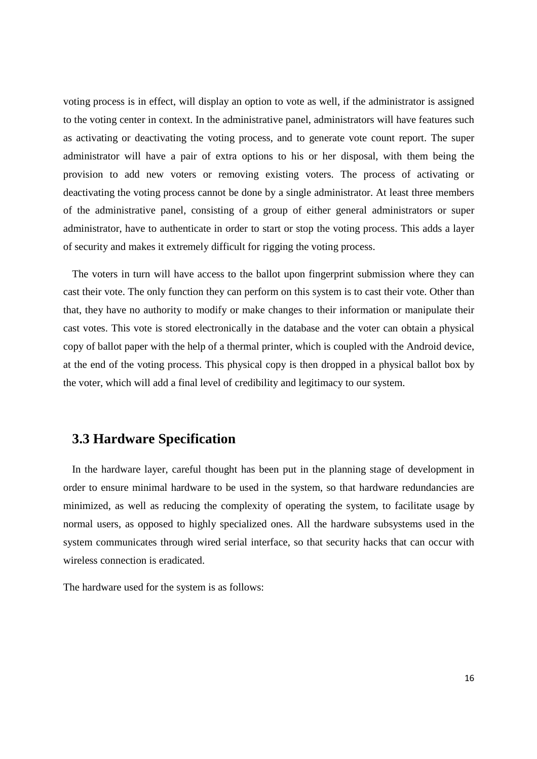voting process is in effect, will display an option to vote as well, if the administrator is assigned to the voting center in context. In the administrative panel, administrators will have features such as activating or deactivating the voting process, and to generate vote count report. The super administrator will have a pair of extra options to his or her disposal, with them being the provision to add new voters or removing existing voters. The process of activating or deactivating the voting process cannot be done by a single administrator. At least three members of the administrative panel, consisting of a group of either general administrators or super administrator, have to authenticate in order to start or stop the voting process. This adds a layer of security and makes it extremely difficult for rigging the voting process.

The voters in turn will have access to the ballot upon fingerprint submission where they can cast their vote. The only function they can perform on this system is to cast their vote. Other than that, they have no authority to modify or make changes to their information or manipulate their cast votes. This vote is stored electronically in the database and the voter can obtain a physical copy of ballot paper with the help of a thermal printer, which is coupled with the Android device, at the end of the voting process. This physical copy is then dropped in a physical ballot box by the voter, which will add a final level of credibility and legitimacy to our system.

### **3.3 Hardware Specification**

In the hardware layer, careful thought has been put in the planning stage of development in order to ensure minimal hardware to be used in the system, so that hardware redundancies are minimized, as well as reducing the complexity of operating the system, to facilitate usage by normal users, as opposed to highly specialized ones. All the hardware subsystems used in the system communicates through wired serial interface, so that security hacks that can occur with wireless connection is eradicated.

The hardware used for the system is as follows: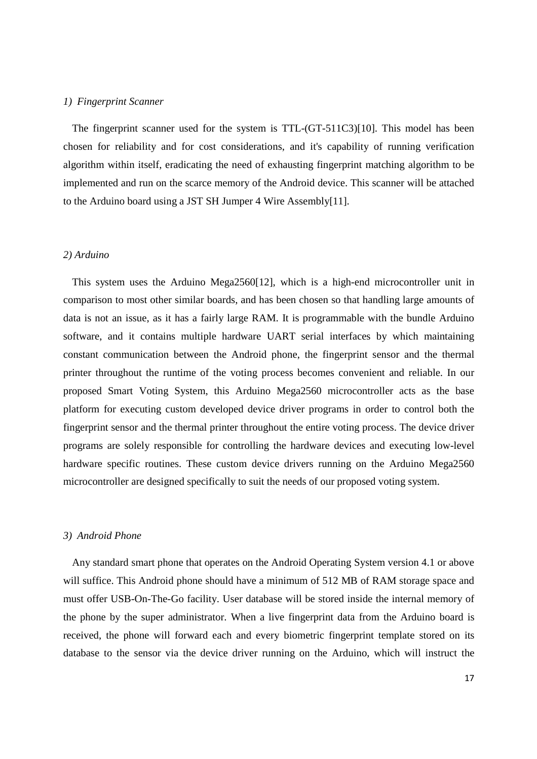#### *1) Fingerprint Scanner*

The fingerprint scanner used for the system is TTL-(GT-511C3)[10]. This model has been chosen for reliability and for cost considerations, and it's capability of running verification algorithm within itself, eradicating the need of exhausting fingerprint matching algorithm to be implemented and run on the scarce memory of the Android device. This scanner will be attached to the Arduino board using a JST SH Jumper 4 Wire Assembly[11].

### *2) Arduino*

This system uses the Arduino Mega2560[12], which is a high-end microcontroller unit in comparison to most other similar boards, and has been chosen so that handling large amounts of data is not an issue, as it has a fairly large RAM. It is programmable with the bundle Arduino software, and it contains multiple hardware UART serial interfaces by which maintaining constant communication between the Android phone, the fingerprint sensor and the thermal printer throughout the runtime of the voting process becomes convenient and reliable. In our proposed Smart Voting System, this Arduino Mega2560 microcontroller acts as the base platform for executing custom developed device driver programs in order to control both the fingerprint sensor and the thermal printer throughout the entire voting process. The device driver programs are solely responsible for controlling the hardware devices and executing low-level hardware specific routines. These custom device drivers running on the Arduino Mega2560 microcontroller are designed specifically to suit the needs of our proposed voting system.

#### *3) Android Phone*

Any standard smart phone that operates on the Android Operating System version 4.1 or above will suffice. This Android phone should have a minimum of 512 MB of RAM storage space and must offer USB-On-The-Go facility. User database will be stored inside the internal memory of the phone by the super administrator. When a live fingerprint data from the Arduino board is received, the phone will forward each and every biometric fingerprint template stored on its database to the sensor via the device driver running on the Arduino, which will instruct the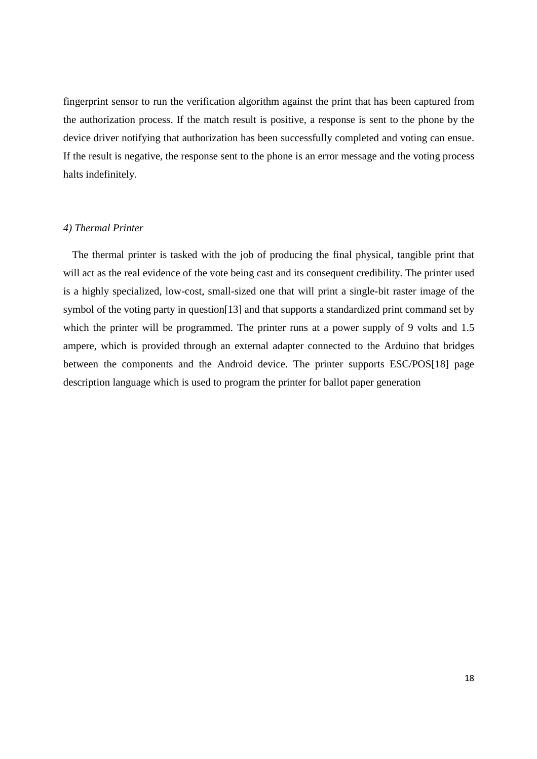fingerprint sensor to run the verification algorithm against the print that has been captured from the authorization process. If the match result is positive, a response is sent to the phone by the device driver notifying that authorization has been successfully completed and voting can ensue. If the result is negative, the response sent to the phone is an error message and the voting process halts indefinitely.

#### *4) Thermal Printer*

The thermal printer is tasked with the job of producing the final physical, tangible print that will act as the real evidence of the vote being cast and its consequent credibility. The printer used is a highly specialized, low-cost, small-sized one that will print a single-bit raster image of the symbol of the voting party in question[13] and that supports a standardized print command set by which the printer will be programmed. The printer runs at a power supply of 9 volts and 1.5 ampere, which is provided through an external adapter connected to the Arduino that bridges between the components and the Android device. The printer supports ESC/POS[18] page description language which is used to program the printer for ballot paper generation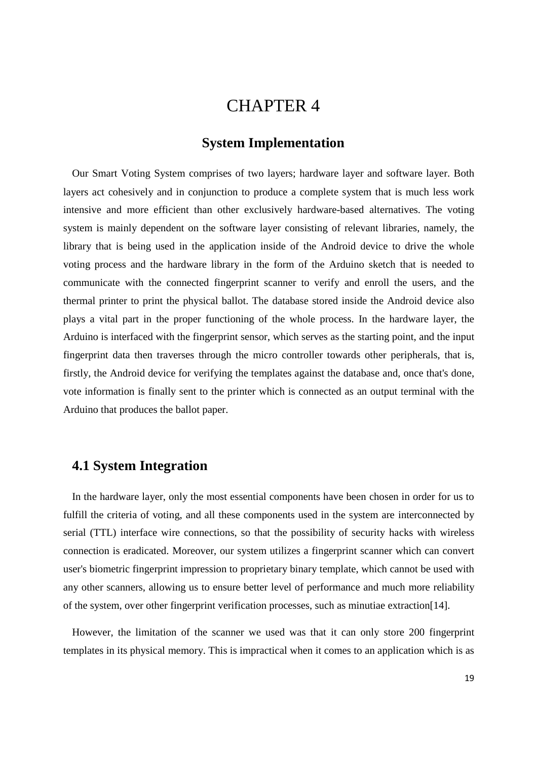## CHAPTER 4

### **System Implementation**

Our Smart Voting System comprises of two layers; hardware layer and software layer. Both layers act cohesively and in conjunction to produce a complete system that is much less work intensive and more efficient than other exclusively hardware-based alternatives. The voting system is mainly dependent on the software layer consisting of relevant libraries, namely, the library that is being used in the application inside of the Android device to drive the whole voting process and the hardware library in the form of the Arduino sketch that is needed to communicate with the connected fingerprint scanner to verify and enroll the users, and the thermal printer to print the physical ballot. The database stored inside the Android device also plays a vital part in the proper functioning of the whole process. In the hardware layer, the Arduino is interfaced with the fingerprint sensor, which serves as the starting point, and the input fingerprint data then traverses through the micro controller towards other peripherals, that is, firstly, the Android device for verifying the templates against the database and, once that's done, vote information is finally sent to the printer which is connected as an output terminal with the Arduino that produces the ballot paper.

### **4.1 System Integration**

In the hardware layer, only the most essential components have been chosen in order for us to fulfill the criteria of voting, and all these components used in the system are interconnected by serial (TTL) interface wire connections, so that the possibility of security hacks with wireless connection is eradicated. Moreover, our system utilizes a fingerprint scanner which can convert user's biometric fingerprint impression to proprietary binary template, which cannot be used with any other scanners, allowing us to ensure better level of performance and much more reliability of the system, over other fingerprint verification processes, such as minutiae extraction[14].

However, the limitation of the scanner we used was that it can only store 200 fingerprint templates in its physical memory. This is impractical when it comes to an application which is as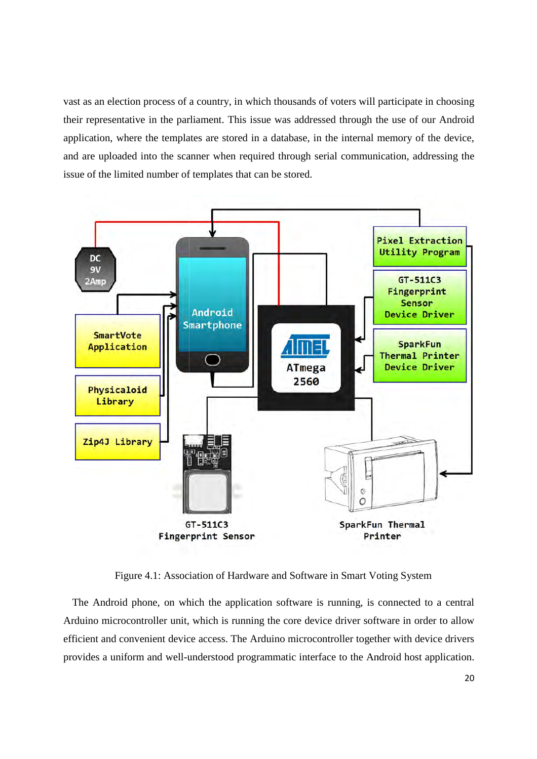vast as an election process of a country, in which thousands of voters will participate in choosing vast as an election process of a country, in which thousands of voters will participate in choosing<br>their representative in the parliament. This issue was addressed through the use of our Android application, where the templates are stored in a database, in the internal memory of the device, and are uploaded into the scanner when required through serial communication, addressing the issue of the limited number of templates that can be stored.



Figure 4.1: Association of Hardware and Software in Smart Voting System

The Android phone, on which the application software is running, is connected to a central The Android phone, on which the application software is running, is connected to a central Arduino microcontroller unit, which is running the core device driver software in order to allow efficient and convenient device access. The Arduino microcontroller together with device drivers efficient and convenient device access. The Arduino microcontroller together with device drivers<br>provides a uniform and well-understood programmatic interface to the Android host application.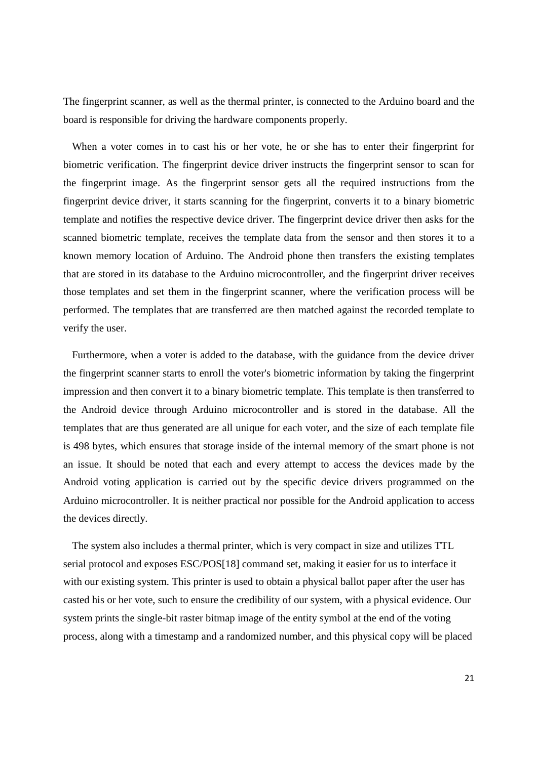The fingerprint scanner, as well as the thermal printer, is connected to the Arduino board and the board is responsible for driving the hardware components properly.

When a voter comes in to cast his or her vote, he or she has to enter their fingerprint for biometric verification. The fingerprint device driver instructs the fingerprint sensor to scan for the fingerprint image. As the fingerprint sensor gets all the required instructions from the fingerprint device driver, it starts scanning for the fingerprint, converts it to a binary biometric template and notifies the respective device driver. The fingerprint device driver then asks for the scanned biometric template, receives the template data from the sensor and then stores it to a known memory location of Arduino. The Android phone then transfers the existing templates that are stored in its database to the Arduino microcontroller, and the fingerprint driver receives those templates and set them in the fingerprint scanner, where the verification process will be performed. The templates that are transferred are then matched against the recorded template to verify the user.

Furthermore, when a voter is added to the database, with the guidance from the device driver the fingerprint scanner starts to enroll the voter's biometric information by taking the fingerprint impression and then convert it to a binary biometric template. This template is then transferred to the Android device through Arduino microcontroller and is stored in the database. All the templates that are thus generated are all unique for each voter, and the size of each template file is 498 bytes, which ensures that storage inside of the internal memory of the smart phone is not an issue. It should be noted that each and every attempt to access the devices made by the Android voting application is carried out by the specific device drivers programmed on the Arduino microcontroller. It is neither practical nor possible for the Android application to access the devices directly.

The system also includes a thermal printer, which is very compact in size and utilizes TTL serial protocol and exposes ESC/POS[18] command set, making it easier for us to interface it with our existing system. This printer is used to obtain a physical ballot paper after the user has casted his or her vote, such to ensure the credibility of our system, with a physical evidence. Our system prints the single-bit raster bitmap image of the entity symbol at the end of the voting process, along with a timestamp and a randomized number, and this physical copy will be placed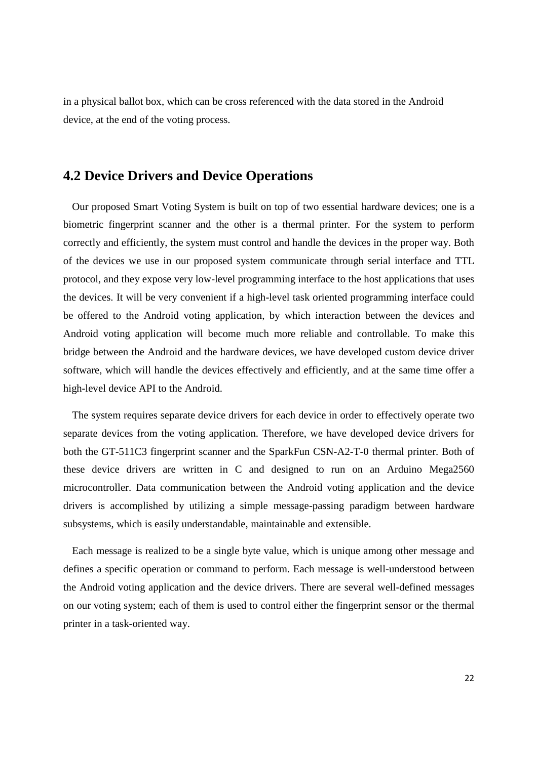in a physical ballot box, which can be cross referenced with the data stored in the Android device, at the end of the voting process.

### **4.2 Device Drivers and Device Operations**

Our proposed Smart Voting System is built on top of two essential hardware devices; one is a biometric fingerprint scanner and the other is a thermal printer. For the system to perform correctly and efficiently, the system must control and handle the devices in the proper way. Both of the devices we use in our proposed system communicate through serial interface and TTL protocol, and they expose very low-level programming interface to the host applications that uses the devices. It will be very convenient if a high-level task oriented programming interface could be offered to the Android voting application, by which interaction between the devices and Android voting application will become much more reliable and controllable. To make this bridge between the Android and the hardware devices, we have developed custom device driver software, which will handle the devices effectively and efficiently, and at the same time offer a high-level device API to the Android.

The system requires separate device drivers for each device in order to effectively operate two separate devices from the voting application. Therefore, we have developed device drivers for both the GT-511C3 fingerprint scanner and the SparkFun CSN-A2-T-0 thermal printer. Both of these device drivers are written in C and designed to run on an Arduino Mega2560 microcontroller. Data communication between the Android voting application and the device drivers is accomplished by utilizing a simple message-passing paradigm between hardware subsystems, which is easily understandable, maintainable and extensible.

Each message is realized to be a single byte value, which is unique among other message and defines a specific operation or command to perform. Each message is well-understood between the Android voting application and the device drivers. There are several well-defined messages on our voting system; each of them is used to control either the fingerprint sensor or the thermal printer in a task-oriented way.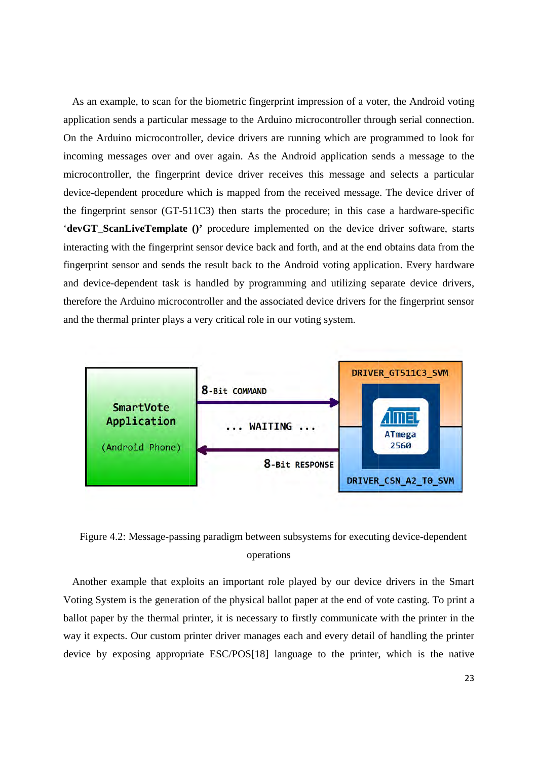As an example, to scan for the biometric fingerprint impression of a voter, the Android voting application sends a particular message to the Arduino microcontroller through serial connection. On the Arduino microcontroller, device drivers are running which are programmed to look for incoming messages over and over again. As the Android application sends a message to the microcontroller, the fingerprint device driver receives this message and selects a particular device-dependent procedure which is mapped from the received message. The device driver of device-dependent procedure which is mapped from the received message. The device driver of<br>the fingerprint sensor (GT-511C3) then starts the procedure; in this case a hardware-specific '**devGT\_ScanLiveTemplate ()'** procedure implemented on the device driver software, starts interacting with the fingerprint sensor device back and forth, and at the end obtains data from the fingerprint sensor and sends the result back to the Android voting application. Every hardware fingerprint sensor and sends the result back to the Android voting application. Every hardware and device-dependent task is handled by programming and utilizing separate device drivers, therefore the Arduino microcontroller and the associated device drivers for the fingerprint sensor therefore the Arduino microcontroller and the associated device drive<br>and the thermal printer plays a very critical role in our voting system. lication sends a particular message to the Arduino microcontroller through serial connection.<br>the Arduino microcontroller, device drivers are running which are programmed to look for<br>pming messages over and over again. As device drivers are running which are programmed to look for



Figure 4.2: Message-passing paradigm between subsystems for executing device operations

Another example that exploits an important role played by our device drivers in the Smart Smart Voting System is the generation of the physical ballot paper at the end of vote casting. To print a ballot paper by the thermal printer, it is necessary to firstly communicate with the printer in the Voting System is the generation of the physical ballot paper at the end of vote casting. To print a<br>ballot paper by the thermal printer, it is necessary to firstly communicate with the printer in the<br>way it expects. Our cu device by exposing appropriate ESC/POS[18] language to the printer, which is the native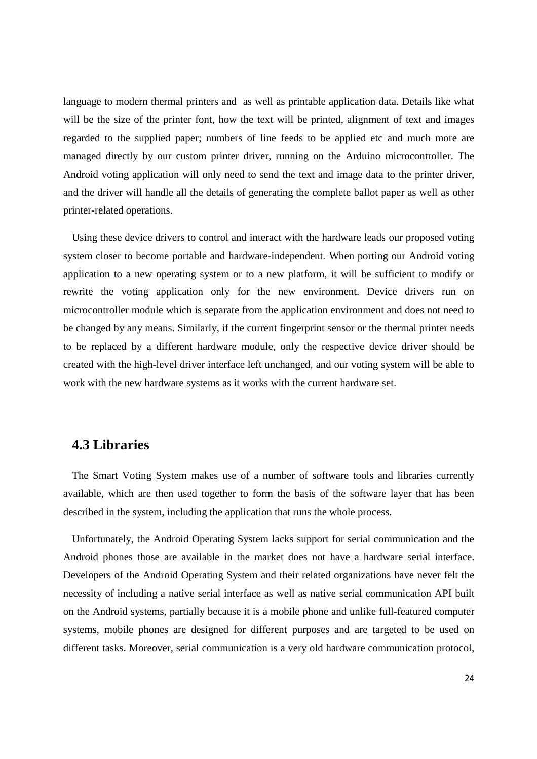language to modern thermal printers and as well as printable application data. Details like what will be the size of the printer font, how the text will be printed, alignment of text and images regarded to the supplied paper; numbers of line feeds to be applied etc and much more are managed directly by our custom printer driver, running on the Arduino microcontroller. The Android voting application will only need to send the text and image data to the printer driver, and the driver will handle all the details of generating the complete ballot paper as well as other printer-related operations.

Using these device drivers to control and interact with the hardware leads our proposed voting system closer to become portable and hardware-independent. When porting our Android voting application to a new operating system or to a new platform, it will be sufficient to modify or rewrite the voting application only for the new environment. Device drivers run on microcontroller module which is separate from the application environment and does not need to be changed by any means. Similarly, if the current fingerprint sensor or the thermal printer needs to be replaced by a different hardware module, only the respective device driver should be created with the high-level driver interface left unchanged, and our voting system will be able to work with the new hardware systems as it works with the current hardware set.

### **4.3 Libraries**

The Smart Voting System makes use of a number of software tools and libraries currently available, which are then used together to form the basis of the software layer that has been described in the system, including the application that runs the whole process.

Unfortunately, the Android Operating System lacks support for serial communication and the Android phones those are available in the market does not have a hardware serial interface. Developers of the Android Operating System and their related organizations have never felt the necessity of including a native serial interface as well as native serial communication API built on the Android systems, partially because it is a mobile phone and unlike full-featured computer systems, mobile phones are designed for different purposes and are targeted to be used on different tasks. Moreover, serial communication is a very old hardware communication protocol,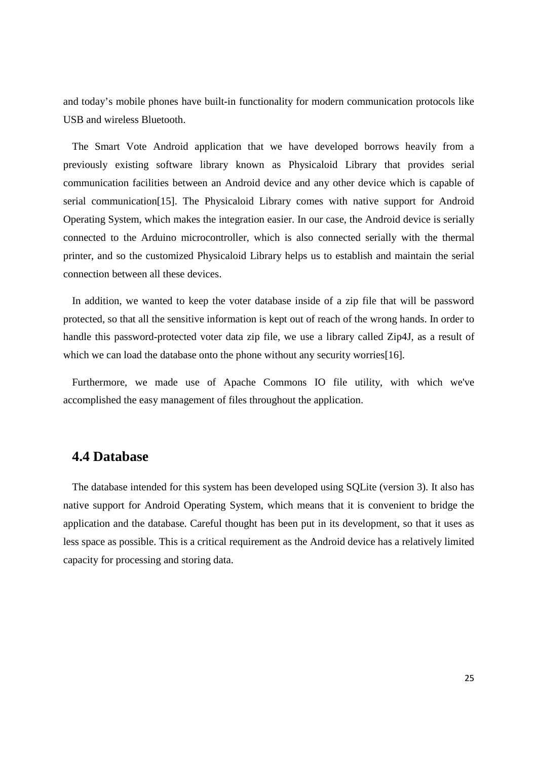and today's mobile phones have built-in functionality for modern communication protocols like USB and wireless Bluetooth.

The Smart Vote Android application that we have developed borrows heavily from a previously existing software library known as Physicaloid Library that provides serial communication facilities between an Android device and any other device which is capable of serial communication[15]. The Physicaloid Library comes with native support for Android Operating System, which makes the integration easier. In our case, the Android device is serially connected to the Arduino microcontroller, which is also connected serially with the thermal printer, and so the customized Physicaloid Library helps us to establish and maintain the serial connection between all these devices.

In addition, we wanted to keep the voter database inside of a zip file that will be password protected, so that all the sensitive information is kept out of reach of the wrong hands. In order to handle this password-protected voter data zip file, we use a library called Zip4J, as a result of which we can load the database onto the phone without any security worries[16].

Furthermore, we made use of Apache Commons IO file utility, with which we've accomplished the easy management of files throughout the application.

### **4.4 Database**

The database intended for this system has been developed using SQLite (version 3). It also has native support for Android Operating System, which means that it is convenient to bridge the application and the database. Careful thought has been put in its development, so that it uses as less space as possible. This is a critical requirement as the Android device has a relatively limited capacity for processing and storing data.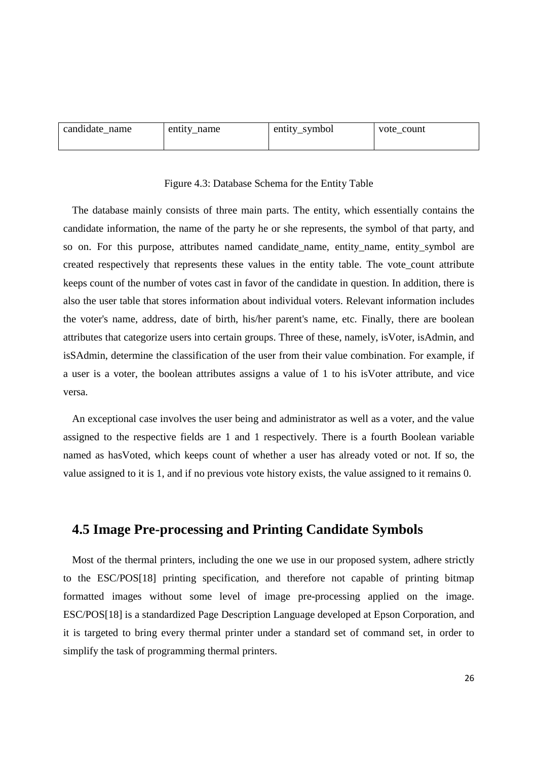| candidate name | entity name | entity_symbol | vote count |
|----------------|-------------|---------------|------------|
|                |             |               |            |

### Figure 4.3: Database Schema for the Entity Table

The database mainly consists of three main parts. The entity, which essentially contains the candidate information, the name of the party he or she represents, the symbol of that party, and so on. For this purpose, attributes named candidate\_name, entity\_name, entity\_symbol are created respectively that represents these values in the entity table. The vote\_count attribute keeps count of the number of votes cast in favor of the candidate in question. In addition, there is also the user table that stores information about individual voters. Relevant information includes the voter's name, address, date of birth, his/her parent's name, etc. Finally, there are boolean attributes that categorize users into certain groups. Three of these, namely, isVoter, isAdmin, and isSAdmin, determine the classification of the user from their value combination. For example, if a user is a voter, the boolean attributes assigns a value of 1 to his isVoter attribute, and vice versa.

An exceptional case involves the user being and administrator as well as a voter, and the value assigned to the respective fields are 1 and 1 respectively. There is a fourth Boolean variable named as hasVoted, which keeps count of whether a user has already voted or not. If so, the value assigned to it is 1, and if no previous vote history exists, the value assigned to it remains 0.

### **4.5 Image Pre-processing and Printing Candidate Symbols**

Most of the thermal printers, including the one we use in our proposed system, adhere strictly to the ESC/POS[18] printing specification, and therefore not capable of printing bitmap formatted images without some level of image pre-processing applied on the image. ESC/POS[18] is a standardized Page Description Language developed at Epson Corporation, and it is targeted to bring every thermal printer under a standard set of command set, in order to simplify the task of programming thermal printers.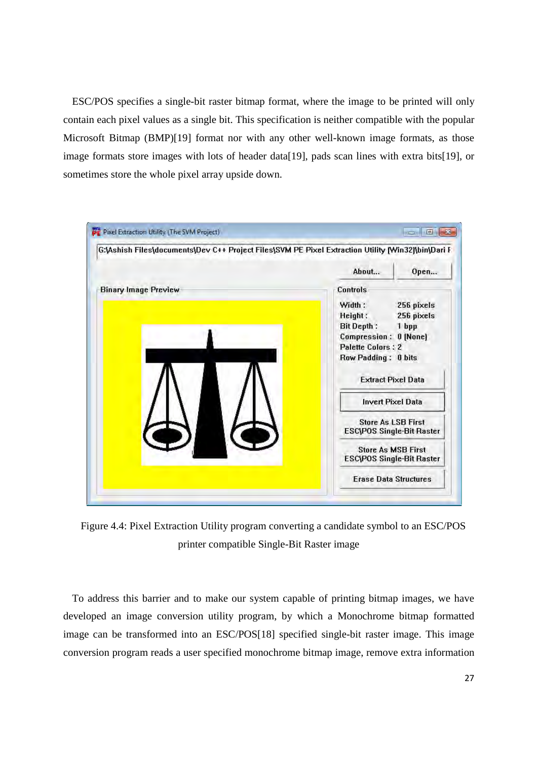ESC/POS specifies a single-bit raster bitmap format, where the image to be printed will only contain each pixel values as a single bit. This specification is neither compatible with the popular Microsoft Bitmap (BMP)[19] format nor with any other well-known image formats, as those image formats store images with lots of header data[19], pads scan lines with extra bits[19], or sometimes store the whole pixel array upside down.



Figure 4.4: Pixel Extraction Utility program converting a candidate symbol to an ESC/POS printer compatible Single-Bit Raster image

To address this barrier and to make our system capable of printing bitmap images, we have developed an image conversion utility program, by which a Monochrome bitmap formatted image can be transformed into an ESC/POS[18] specified single-bit raster image. This image conversion program reads a user specified monochrome bitmap image, remove extra information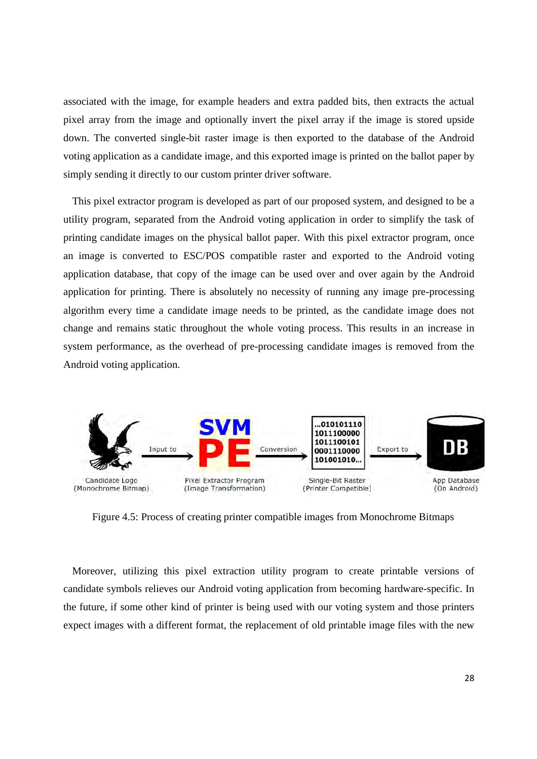associated with the image, for example headers and extra padded bits, then extracts the actual associated with the image, for example headers and extra padded bits, then extracts the actual<br>pixel array from the image and optionally invert the pixel array if the image is stored upside down. The converted single-bit raster image is then exported to the database of the Android voting application as a candidate image, and this exported image is printed on the ballot paper by simply sending it directly to our custom printer driver software. simply sending it directly to our custom printer driver software.

This pixel extractor program is developed as part of our proposed system, and designed to be a utility program, separated from the Android voting application in order to simplify the task of printing candidate images on the physical ballot paper. With this pixel extractor program, once an image is converted to ESC/POS compatible raster and exported to the Android voting application database, that copy of the image can be used over and over again by the Android application database, that copy of the image can be used over and over again by the Android<br>application for printing. There is absolutely no necessity of running any image pre-processing algorithm every time a candidate image needs to be printed, as the candidate image does not change and remains static throughout the whole voting process. This results in an increase in system performance, as the overhead of pre-processing candidate images is removed from the Android voting application. developed as part of our proposed system, and designed to be a<br>ne Android voting application in order to simplify the task of<br>physical ballot paper. With this pixel extractor program, once application for printing. There is absolutely no necessity of running any image pre-processing<br>algorithm every time a candidate image needs to be printed, as the candidate image does not<br>change and remains static throughou Android voting application in order to simplify the task of image needs to be printed, as the candidate image does not



Figure 4.5: Process of creating printer compatible images from Monochrome Bitmaps

Moreover, utilizing this pixel extraction utility program to create printable versions of candidate symbols relieves our Android voting application from becoming hardware-specific. In the future, if some other kind of printer is being used with our voting system and those printers candidate symbols relieves our Android voting application from becoming hardware-specific. In<br>the future, if some other kind of printer is being used with our voting system and those printers<br>expect images with a different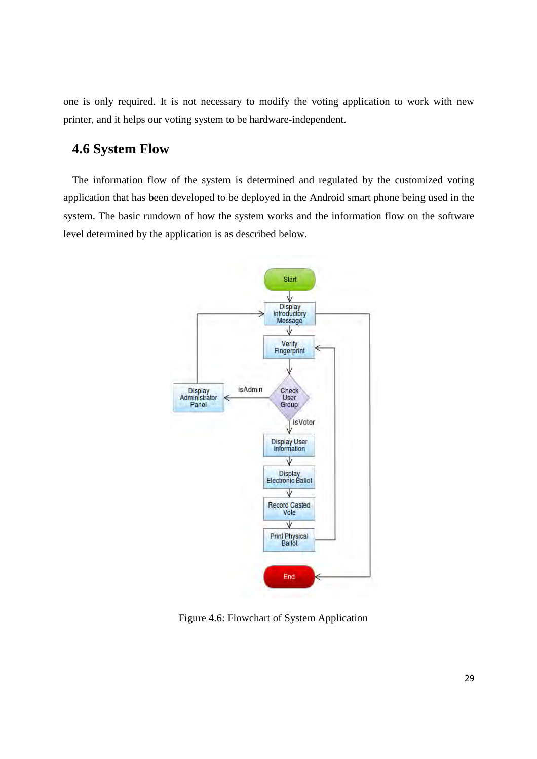one is only required. It is not necessary to modify the voting application to work with new printer, and it helps our voting system to be hardware-independent. information flow of the system is determined and regulated by the customized voting<br> **4.6 System Flow**<br> **The information flow of the system is determined and regulated by the customized voting** 

## **4.6 System Flow**

application that has been developed to be deployed in the Android smart phone being used in the system. The basic rundown of how the system works and the information flow on the software level determined by the application is as is determined and regulated by the customized voting<br>e deployed in the Android smart phone being used in the<br>system works and the information flow on the software<br>described below. used in the



Figure 4. 4.6: Flowchart of System Application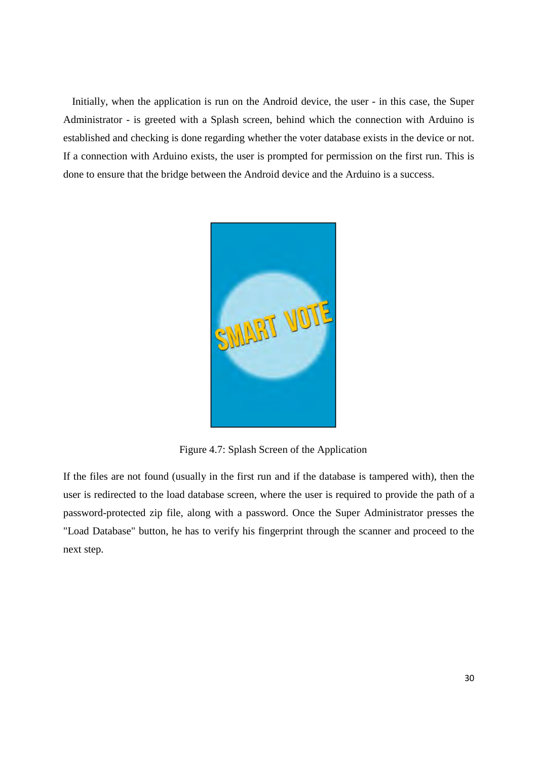Initially, when the application is run on the Android device, the user - in this case, the Super Administrator - is greeted with a Splash screen, behind which the connection with Arduino is established and checking is done regarding whether the voter database exists in the device or not. If a connection with Arduino exists, the user is prompted for permission on the first run. This is done to ensure that the bridge between the Android device and the Arduino is a success.



Figure 4.7: Splash Screen of the Application

If the files are not found (usually in the first run and if the database is tampered with), then the user is redirected to the load database screen, where the user is required to provide the path of a password-protected zip file, along with a password. Once the Super Administrator presses the "Load Database" button, he has to verify his fingerprint through the scanner and proceed to the next step.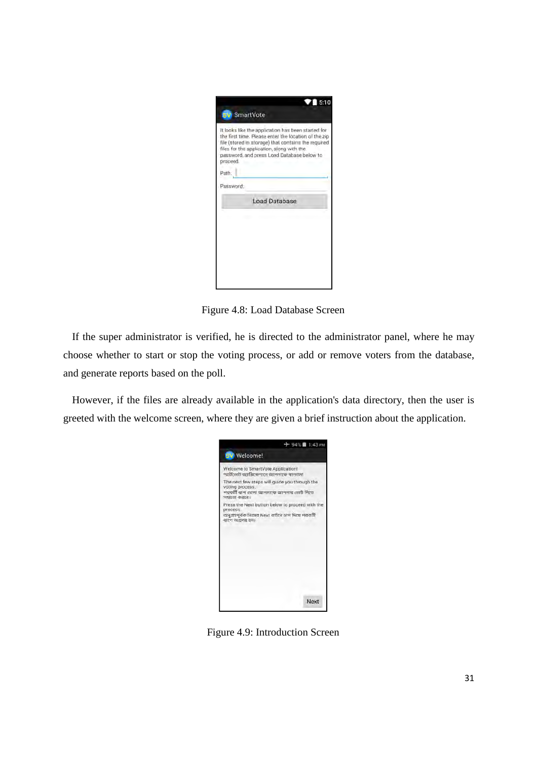|           | 5:10<br><b>SW SmartVote</b>                                                                                                                                                                                                                                   |
|-----------|---------------------------------------------------------------------------------------------------------------------------------------------------------------------------------------------------------------------------------------------------------------|
| broceed.  | It looks like the application has been started for<br>the first time. Please enter the location of the zip<br>file (stored in storage) that contains the required.<br>files for the application, along with the<br>password, and press Load Database below to |
| Path.     |                                                                                                                                                                                                                                                               |
| Password: |                                                                                                                                                                                                                                                               |
|           | <b>Load Database</b>                                                                                                                                                                                                                                          |
|           |                                                                                                                                                                                                                                                               |
|           |                                                                                                                                                                                                                                                               |
|           |                                                                                                                                                                                                                                                               |
|           |                                                                                                                                                                                                                                                               |
|           |                                                                                                                                                                                                                                                               |
|           |                                                                                                                                                                                                                                                               |

Figure 4.8: Load Database Screen

If the super administrator is verified, he is directed to the administrator panel, where he may choose whether to start or stop the voting process, or add or remove voters from the database, and generate reports based on the poll.

However, if the files are already available in the application's data directory, then the user is greeted with the welcome screen, where they are given a brief instruction about the application.

| $+94\%$ 1:43 PM                                                                                                                    |
|------------------------------------------------------------------------------------------------------------------------------------|
| <b>SV</b> Welcome!                                                                                                                 |
| Welcome to SmartVote Application!<br>স্মার্টজোট অ্যাপ্লিকেশানে আলনাকে স্বাগতম!                                                     |
| The next few steps will guide you through the<br>voting process.<br>পরবর্তী ধাপ গুলো আগনাকে আগনার ভোট দিতে<br>সহয়তা করবে।         |
| Press the Next button below to proceed with the<br>process<br>অনুগ্রহপূর্বক নিম্নের Next বাটনে ঢাপ দিয়ে গরবর্তী<br>এটপ অগ্ৰসৰ হন। |
| Next                                                                                                                               |

Figure 4.9: Introduction Screen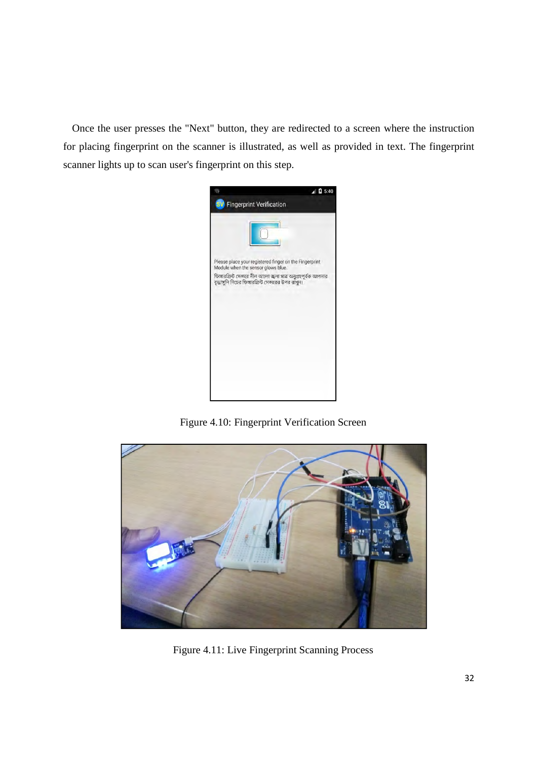Once the user presses the "Next" button, they are redirected to a screen where the instruction for placing fingerprint on the scanner is illustrated, as well as provided in text. The fingerprint scanner lights up to scan user's fingerprint on this step.



Figure 4.10: Fingerprint Verification Screen



Figure 4.11: Live Fingerprint Scanning Process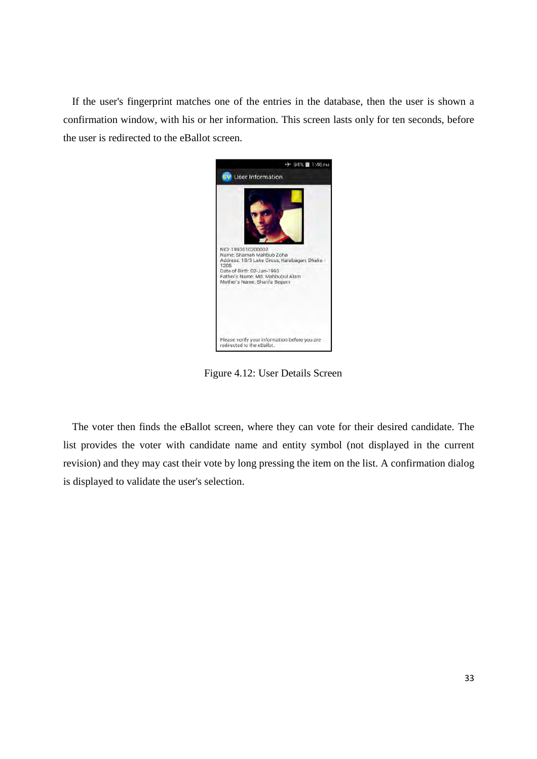If the user's fingerprint matches one of the entries in the database, then the user is shown a confirmation window, with his or her information. This screen lasts only for ten seconds, before the user is redirected to the eBallot screen.



Figure 4.12: User Details Screen

The voter then finds the eBallot screen, where they can vote for their desired candidate. The list provides the voter with candidate name and entity symbol (not displayed in the current revision) and they may cast their vote by long pressing the item on the list. A confirmation dialog is displayed to validate the user's selection.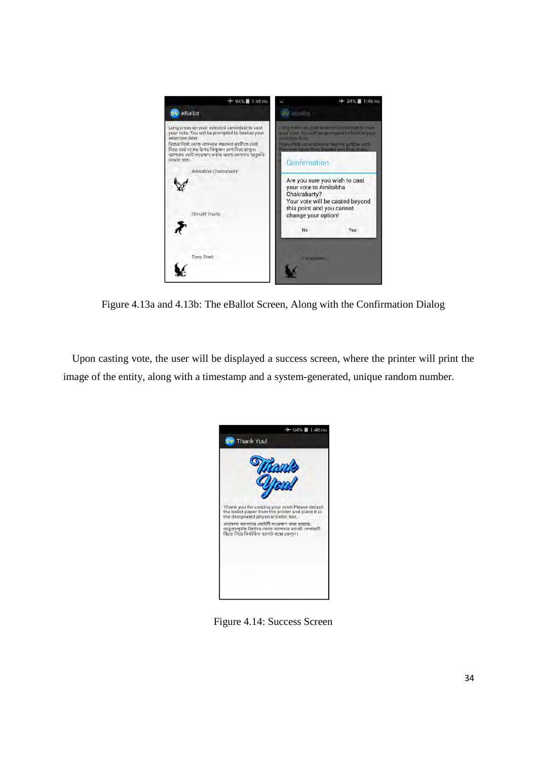

Figure 4.13a and 4.13b: The eBallot Screen, Along with the Confirmation Dialog

Upon casting vote, the user will be displayed a success screen, where the printer will print the image of the entity, along with a timestamp and a system-generated, unique random number.



Figure 4.14: Success Screen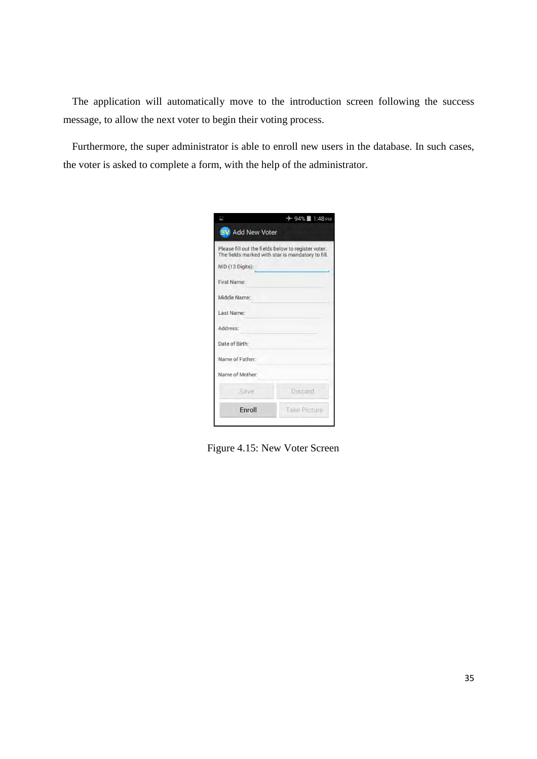The application will automatically move to the introduction screen following the success message, to allow the next voter to begin their voting process.

Furthermore, the super administrator is able to enroll new users in the database. In such cases, the voter is asked to complete a form, with the help of the administrator.

| Ξ                       | $+94\%$ 1:48 PM                                                                                          |
|-------------------------|----------------------------------------------------------------------------------------------------------|
| <b>SV</b> Add New Voter |                                                                                                          |
|                         | Please fill out the fields below to register voter.<br>The fields marked with star is mandatory to fill. |
| NID (13 Digits):        |                                                                                                          |
| First Name:             |                                                                                                          |
| Middle Name:            |                                                                                                          |
| Last Name:              |                                                                                                          |
| Address:                |                                                                                                          |
| Date of Birth:          |                                                                                                          |
| Name of Father:         |                                                                                                          |
| Name of Mother:         |                                                                                                          |
| Save                    | Discard.                                                                                                 |
| Enroll                  | <b>Take Picture</b>                                                                                      |

Figure 4.15: New Voter Screen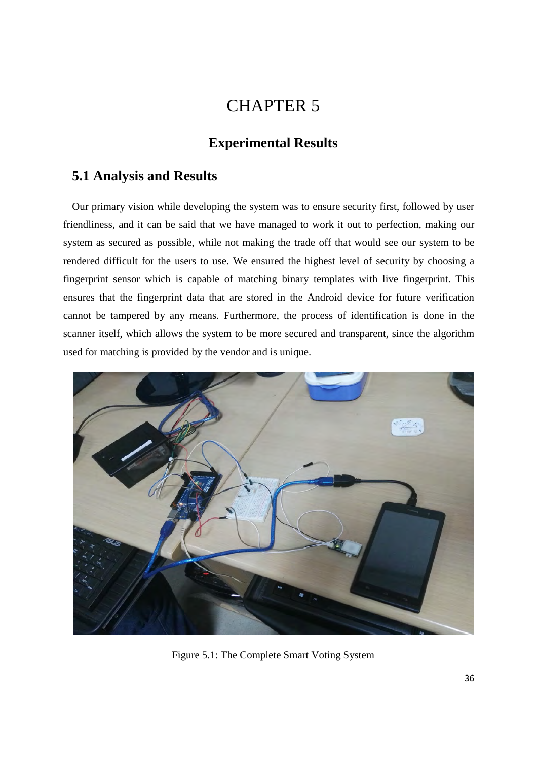## CHAPTER 5

## **Experimental Results**

### **5.1 Analysis and Results**

Our primary vision while developing the system was to ensure security first, followed by user friendliness, and it can be said that we have managed to work it out to perfection, making our system as secured as possible, while not making the trade off that would see our system to be rendered difficult for the users to use. We ensured the highest level of security by choosing a fingerprint sensor which is capable of matching binary templates with live fingerprint. This ensures that the fingerprint data that are stored in the Android device for future verification cannot be tampered by any means. Furthermore, the process of identification is done in the scanner itself, which allows the system to be more secured and transparent, since the algorithm used for matching is provided by the vendor and is unique.



Figure 5.1: The Complete Smart Voting System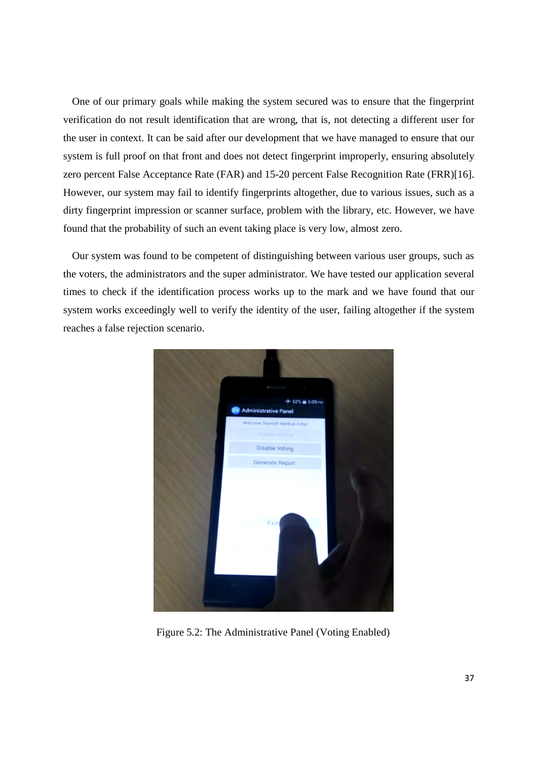One of our primary goals while making the system secured was to ensure that the fingerprint verification do not result identification that are wrong, that is, not detecting a different user for the user in context. It can be said after our development that we have managed to ensure that our system is full proof on that front and does not detect fingerprint improperly, ensuring absolutely zero percent False Acceptance Rate (FAR) and 15-20 percent False Recognition Rate (FRR)[16]. However, our system may fail to identify fingerprints altogether, due to various issues, such as a dirty fingerprint impression or scanner surface, problem with the library, etc. However, we have found that the probability of such an event taking place is very low, almost zero.

Our system was found to be competent of distinguishing between various user groups, such as the voters, the administrators and the super administrator. We have tested our application several times to check if the identification process works up to the mark and we have found that our system works exceedingly well to verify the identity of the user, failing altogether if the system reaches a false rejection scenario.



Figure 5.2: The Administrative Panel (Voting Enabled)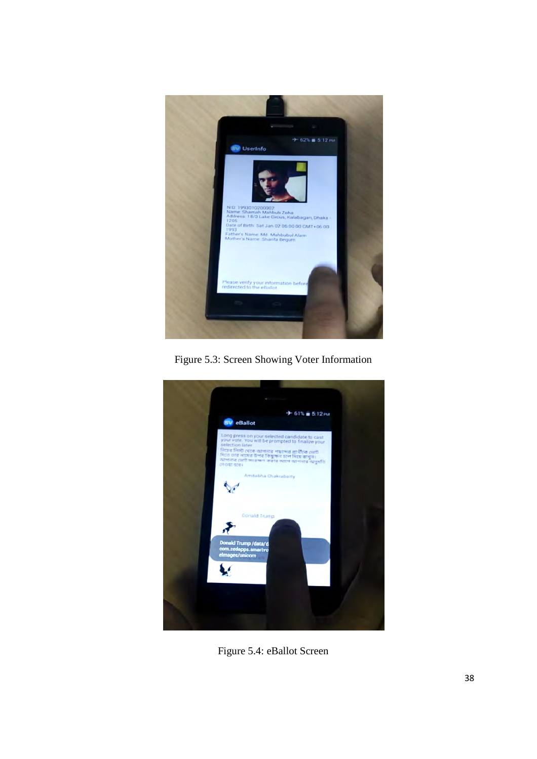

Figure 5.3: Screen Showing Voter Information



Figure 5.4: eBallot Screen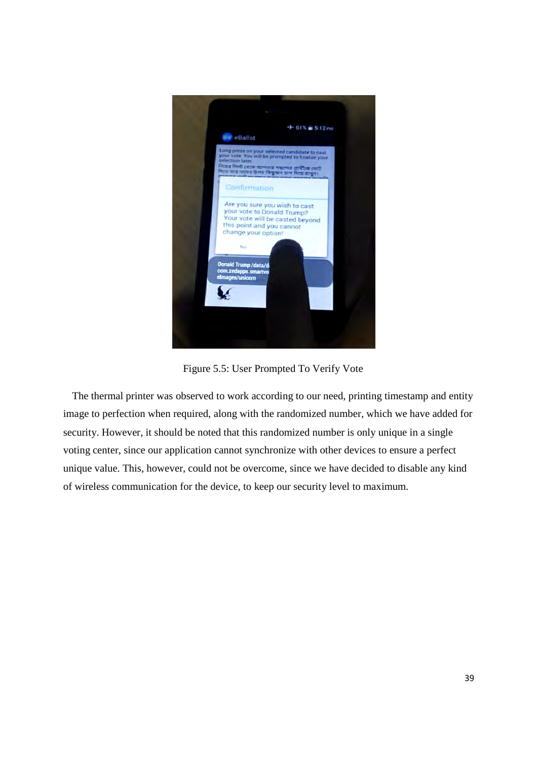

Figure 5.5: User Prompted To Verify Vote

The thermal printer was observed to work according to our need, printing timestamp and entity image to perfection when required, along with the randomized number, which we have added for security. However, it should be noted that this randomized number is only unique in a single voting center, since our application cannot synchronize with other devices to ensure a perfect unique value. This, however, could not be overcome, since we have decided to disable any kind of wireless communication for the device, to keep our security level to maximum.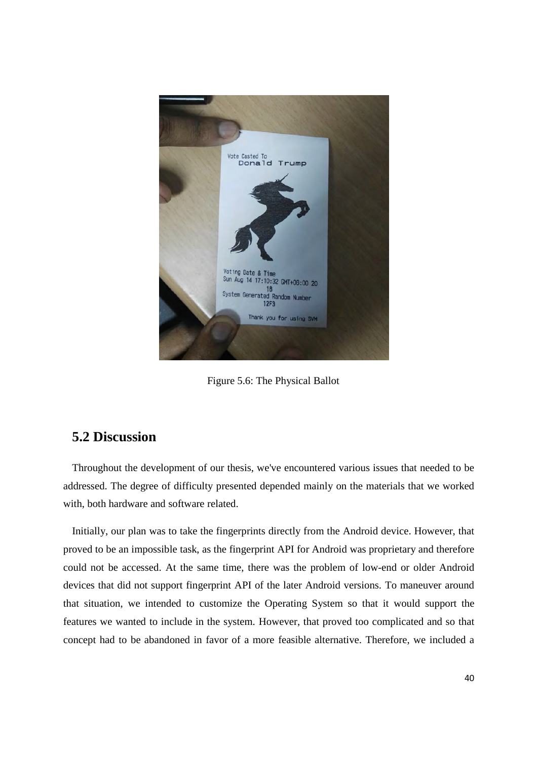

Figure 5.6: The Physical Ballot

### **5.2 Discussion**

Throughout the development of our thesis, we've encountered various issues that needed to be addressed. The degree of difficulty presented depended mainly on the materials that we worked with, both hardware and software related.

Initially, our plan was to take the fingerprints directly from the Android device. However, that proved to be an impossible task, as the fingerprint API for Android was proprietary and therefore could not be accessed. At the same time, there was the problem of low-end or older Android devices that did not support fingerprint API of the later Android versions. To maneuver around that situation, we intended to customize the Operating System so that it would support the features we wanted to include in the system. However, that proved too complicated and so that concept had to be abandoned in favor of a more feasible alternative. Therefore, we included a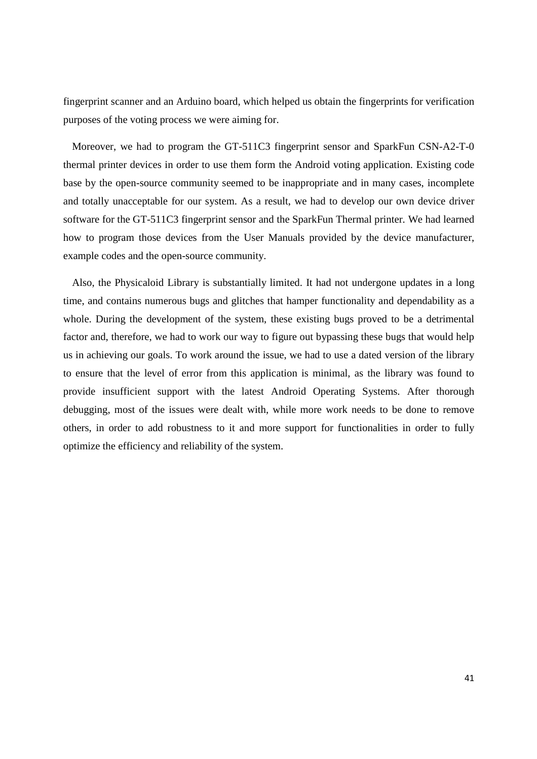fingerprint scanner and an Arduino board, which helped us obtain the fingerprints for verification purposes of the voting process we were aiming for.

Moreover, we had to program the GT-511C3 fingerprint sensor and SparkFun CSN-A2-T-0 thermal printer devices in order to use them form the Android voting application. Existing code base by the open-source community seemed to be inappropriate and in many cases, incomplete and totally unacceptable for our system. As a result, we had to develop our own device driver software for the GT-511C3 fingerprint sensor and the SparkFun Thermal printer. We had learned how to program those devices from the User Manuals provided by the device manufacturer, example codes and the open-source community.

Also, the Physicaloid Library is substantially limited. It had not undergone updates in a long time, and contains numerous bugs and glitches that hamper functionality and dependability as a whole. During the development of the system, these existing bugs proved to be a detrimental factor and, therefore, we had to work our way to figure out bypassing these bugs that would help us in achieving our goals. To work around the issue, we had to use a dated version of the library to ensure that the level of error from this application is minimal, as the library was found to provide insufficient support with the latest Android Operating Systems. After thorough debugging, most of the issues were dealt with, while more work needs to be done to remove others, in order to add robustness to it and more support for functionalities in order to fully optimize the efficiency and reliability of the system.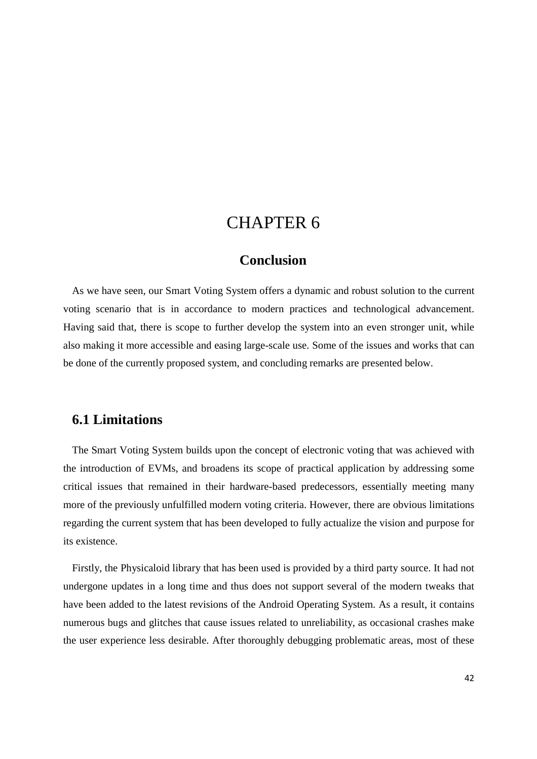## CHAPTER 6

### **Conclusion**

As we have seen, our Smart Voting System offers a dynamic and robust solution to the current voting scenario that is in accordance to modern practices and technological advancement. Having said that, there is scope to further develop the system into an even stronger unit, while also making it more accessible and easing large-scale use. Some of the issues and works that can be done of the currently proposed system, and concluding remarks are presented below.

### **6.1 Limitations**

The Smart Voting System builds upon the concept of electronic voting that was achieved with the introduction of EVMs, and broadens its scope of practical application by addressing some critical issues that remained in their hardware-based predecessors, essentially meeting many more of the previously unfulfilled modern voting criteria. However, there are obvious limitations regarding the current system that has been developed to fully actualize the vision and purpose for its existence.

Firstly, the Physicaloid library that has been used is provided by a third party source. It had not undergone updates in a long time and thus does not support several of the modern tweaks that have been added to the latest revisions of the Android Operating System. As a result, it contains numerous bugs and glitches that cause issues related to unreliability, as occasional crashes make the user experience less desirable. After thoroughly debugging problematic areas, most of these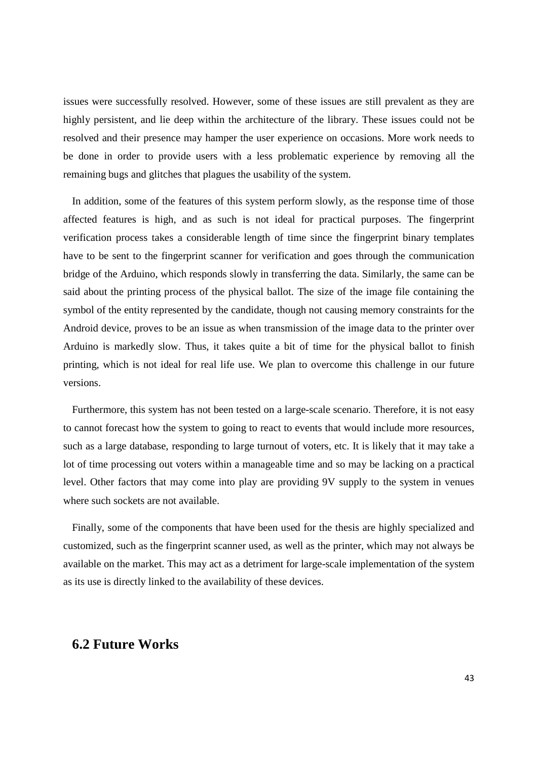issues were successfully resolved. However, some of these issues are still prevalent as they are highly persistent, and lie deep within the architecture of the library. These issues could not be resolved and their presence may hamper the user experience on occasions. More work needs to be done in order to provide users with a less problematic experience by removing all the remaining bugs and glitches that plagues the usability of the system.

In addition, some of the features of this system perform slowly, as the response time of those affected features is high, and as such is not ideal for practical purposes. The fingerprint verification process takes a considerable length of time since the fingerprint binary templates have to be sent to the fingerprint scanner for verification and goes through the communication bridge of the Arduino, which responds slowly in transferring the data. Similarly, the same can be said about the printing process of the physical ballot. The size of the image file containing the symbol of the entity represented by the candidate, though not causing memory constraints for the Android device, proves to be an issue as when transmission of the image data to the printer over Arduino is markedly slow. Thus, it takes quite a bit of time for the physical ballot to finish printing, which is not ideal for real life use. We plan to overcome this challenge in our future versions.

Furthermore, this system has not been tested on a large-scale scenario. Therefore, it is not easy to cannot forecast how the system to going to react to events that would include more resources, such as a large database, responding to large turnout of voters, etc. It is likely that it may take a lot of time processing out voters within a manageable time and so may be lacking on a practical level. Other factors that may come into play are providing 9V supply to the system in venues where such sockets are not available.

Finally, some of the components that have been used for the thesis are highly specialized and customized, such as the fingerprint scanner used, as well as the printer, which may not always be available on the market. This may act as a detriment for large-scale implementation of the system as its use is directly linked to the availability of these devices.

### **6.2 Future Works**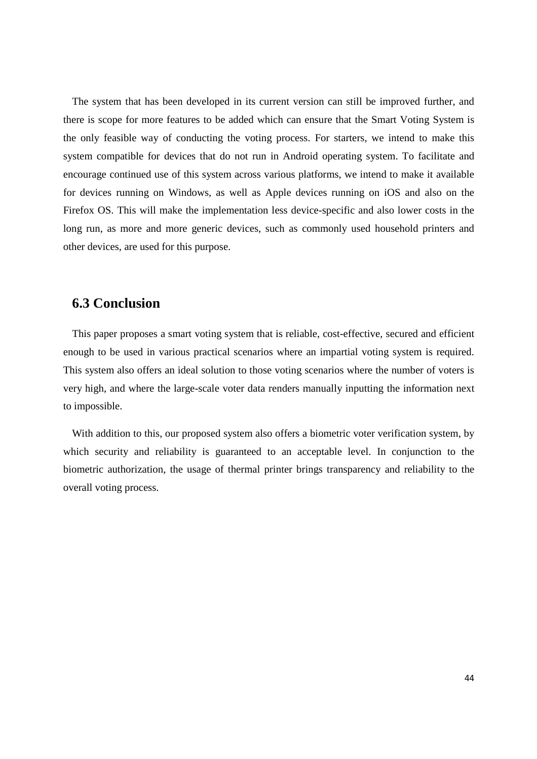The system that has been developed in its current version can still be improved further, and there is scope for more features to be added which can ensure that the Smart Voting System is the only feasible way of conducting the voting process. For starters, we intend to make this system compatible for devices that do not run in Android operating system. To facilitate and encourage continued use of this system across various platforms, we intend to make it available for devices running on Windows, as well as Apple devices running on iOS and also on the Firefox OS. This will make the implementation less device-specific and also lower costs in the long run, as more and more generic devices, such as commonly used household printers and other devices, are used for this purpose.

### **6.3 Conclusion**

This paper proposes a smart voting system that is reliable, cost-effective, secured and efficient enough to be used in various practical scenarios where an impartial voting system is required. This system also offers an ideal solution to those voting scenarios where the number of voters is very high, and where the large-scale voter data renders manually inputting the information next to impossible.

With addition to this, our proposed system also offers a biometric voter verification system, by which security and reliability is guaranteed to an acceptable level. In conjunction to the biometric authorization, the usage of thermal printer brings transparency and reliability to the overall voting process.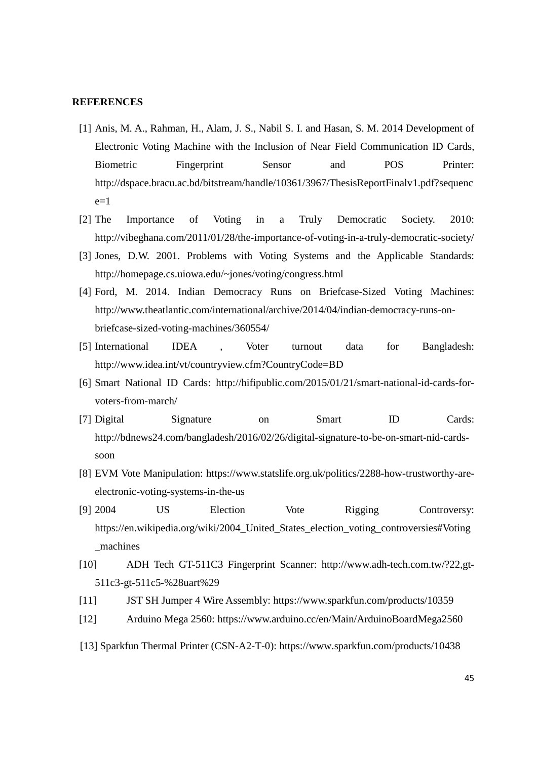### **REFERENCES**

- [1] Anis, M. A., Rahman, H., Alam, J. S., Nabil S. I. and Hasan, S. M. 2014 Development of Electronic Voting Machine with the Inclusion of Near Field Communication ID Cards, Biometric Fingerprint Sensor and POS Printer: http://dspace.bracu.ac.bd/bitstream/handle/10361/3967/ThesisReportFinalv1.pdf?sequenc  $e=1$
- [2] The Importance of Voting in a Truly Democratic Society. 2010: http://vibeghana.com/2011/01/28/the-importance-of-voting-in-a-truly-democratic-society/
- [3] Jones, D.W. 2001. Problems with Voting Systems and the Applicable Standards: http://homepage.cs.uiowa.edu/~jones/voting/congress.html
- [4] Ford, M. 2014. Indian Democracy Runs on Briefcase-Sized Voting Machines: http://www.theatlantic.com/international/archive/2014/04/indian-democracy-runs-onbriefcase-sized-voting-machines/360554/
- [5] International IDEA , Voter turnout data for Bangladesh: http://www.idea.int/vt/countryview.cfm?CountryCode=BD
- [6] Smart National ID Cards: http://hifipublic.com/2015/01/21/smart-national-id-cards-forvoters-from-march/
- [7] Digital Signature on Smart ID Cards: http://bdnews24.com/bangladesh/2016/02/26/digital-signature-to-be-on-smart-nid-cardssoon
- [8] EVM Vote Manipulation: https://www.statslife.org.uk/politics/2288-how-trustworthy-areelectronic-voting-systems-in-the-us
- [9] 2004 US Election Vote Rigging Controversy: https://en.wikipedia.org/wiki/2004\_United\_States\_election\_voting\_controversies#Voting \_machines
- [10] ADH Tech GT-511C3 Fingerprint Scanner: http://www.adh-tech.com.tw/?22,gt-511c3-gt-511c5-%28uart%29
- [11] JST SH Jumper 4 Wire Assembly: https://www.sparkfun.com/products/10359
- [12] Arduino Mega 2560: https://www.arduino.cc/en/Main/ArduinoBoardMega2560
- [13] Sparkfun Thermal Printer (CSN-A2-T-0): https://www.sparkfun.com/products/10438